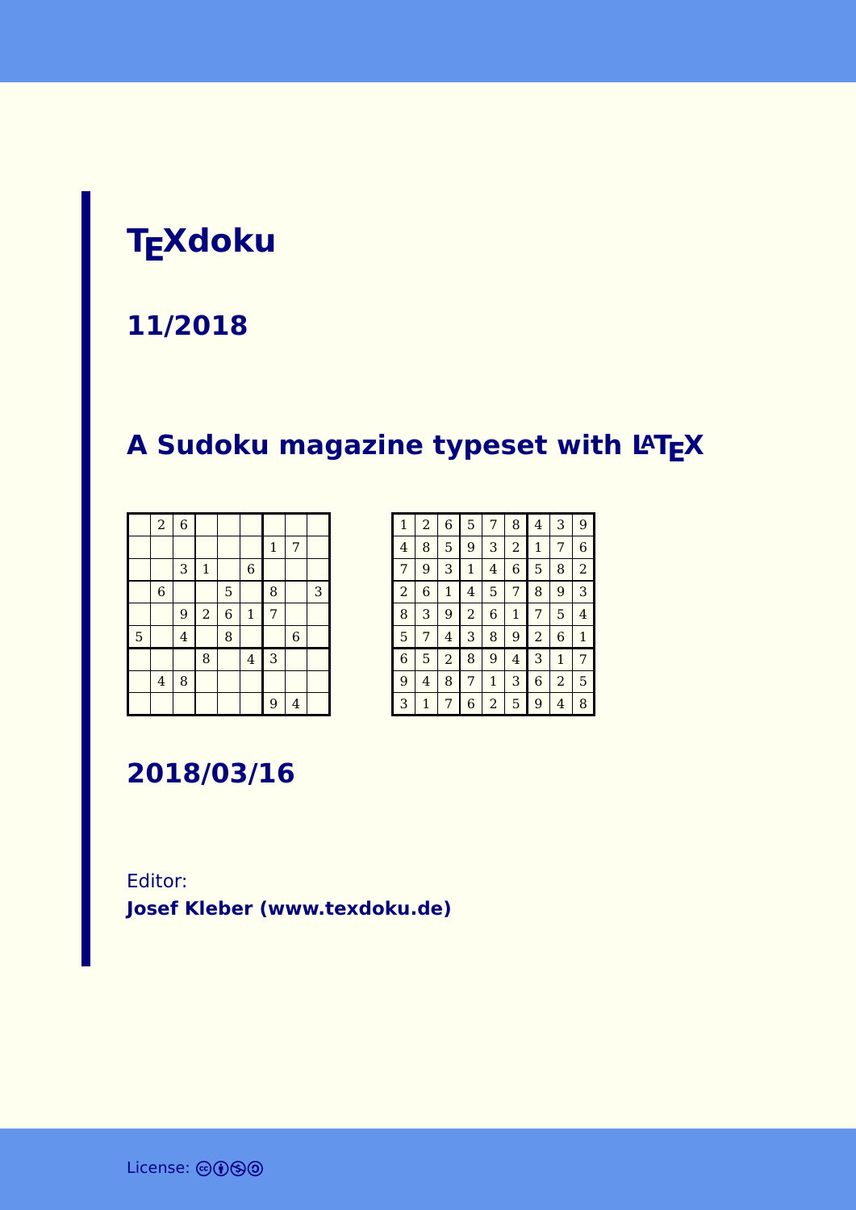# **TEXdoku**

#### **11/2018**

# **A Sudoku magazine typeset with LATEX**

|   | $\boldsymbol{2}$        | $\overline{6}$ |                |                |                |              |                |   |
|---|-------------------------|----------------|----------------|----------------|----------------|--------------|----------------|---|
|   |                         |                |                |                |                | $\mathbf{1}$ | 7              |   |
|   |                         | 3              | $\mathbf 1$    |                | $\,$ 6 $\,$    |              |                |   |
|   | $\,$ 6 $\,$             |                |                | 5              |                | 8            |                | 3 |
|   |                         | 9              | $\overline{a}$ | $\overline{6}$ | $\mathbf 1$    | 7            |                |   |
| 5 |                         | $\overline{4}$ |                | 8              |                |              | $\overline{6}$ |   |
|   |                         |                | 8              |                | $\overline{4}$ | 3            |                |   |
|   | $\overline{\mathbf{4}}$ | 8              |                |                |                |              |                |   |
|   |                         |                |                |                |                | 9            | $\overline{4}$ |   |

| 1              | $\overline{a}$ | 6            | 5              | 7            | 8              | 4 | 3              | 9              |
|----------------|----------------|--------------|----------------|--------------|----------------|---|----------------|----------------|
| 4              | 8              | 5            | 9              | 3            | $\overline{c}$ | 1 | 7              | 6              |
| 7              | 9              | 3            | $\mathbf{1}$   | 4            | 6              | 5 | 8              | $\overline{2}$ |
| $\overline{2}$ | 6              | $\mathbf{1}$ | 4              | 5            | 7              | 8 | 9              | 3              |
| 8              | 3              | 9            | $\overline{2}$ | 6            | 1              | 7 | 5              | 4              |
| 5              | 7              | 4            | 3              | 8            | 9              | 2 | 6              | 1              |
| 6              | 5              | 2            | 8              | 9            | 4              | 3 | $\mathbf{1}$   | 7              |
| 9              | 4              | 8            | 7              | $\mathbf{1}$ | 3              | 6 | $\overline{c}$ | 5              |
| 3              | 1              | 7            | 6              | 2            | 5              | 9 | 4              | 8              |

**2018/03/16**

#### Editor: **[Josef Kleber \(www.texdoku.de\)](mailto:texdoku@texdoku.de)**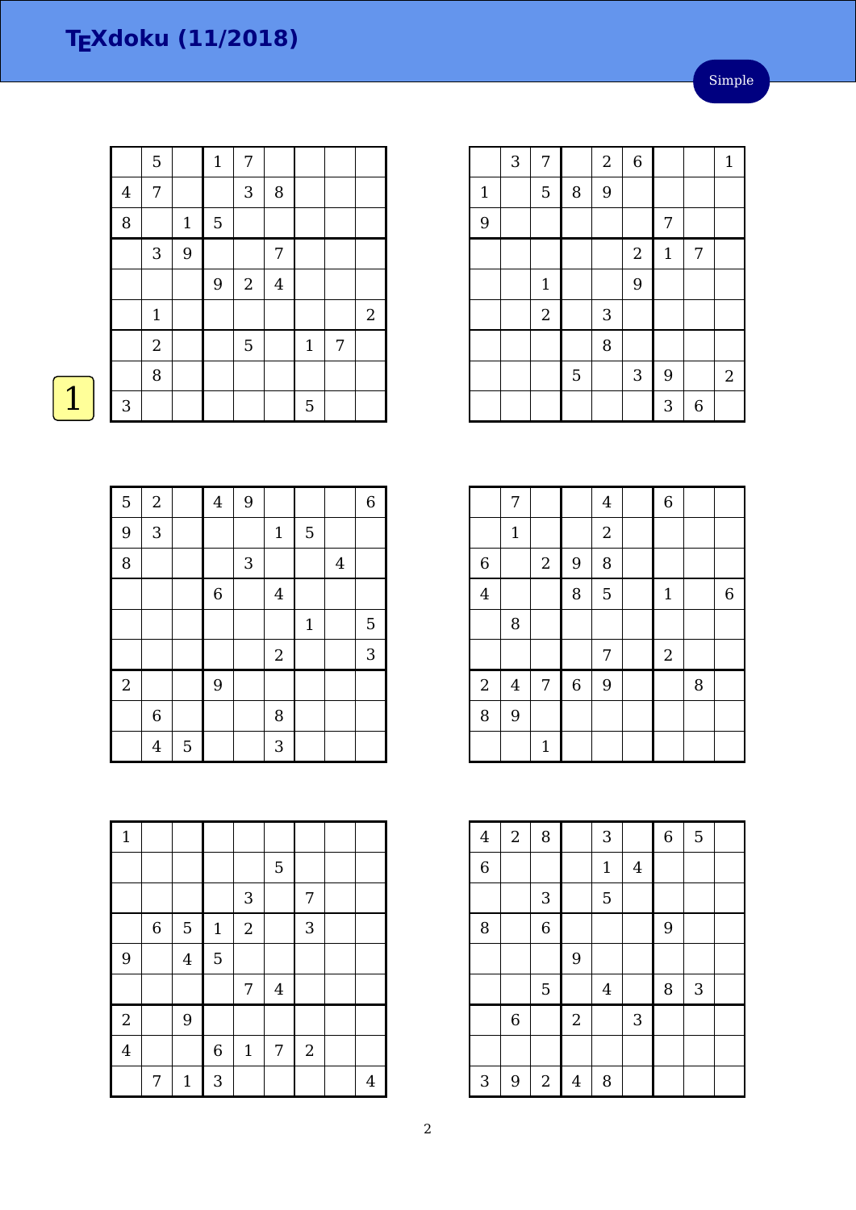$\boxed{1}$ 

|         | 5              |             | $\mathbf{1}$ | 7              |                |       |   |                |
|---------|----------------|-------------|--------------|----------------|----------------|-------|---|----------------|
| $\bf 4$ | $\overline{7}$ |             |              | 3              | $\, 8$         |       |   |                |
| 8       |                | $\mathbf 1$ | 5            |                |                |       |   |                |
|         | 3              | 9           |              |                | 7              |       |   |                |
|         |                |             | 9            | $\mathbf{2}$   | $\overline{4}$ |       |   |                |
|         | $\mathbf 1$    |             |              |                |                |       |   | $\overline{2}$ |
|         | $\overline{2}$ |             |              | $\overline{5}$ |                | $1\,$ | 7 |                |
|         | 8              |             |              |                |                |       |   |                |
| 3       |                |             |              |                |                | 5     |   |                |

|       | 3 | 7              |   | $\boldsymbol{2}$ | $\overline{6}$ |             |   | $\mathbf{1}$     |
|-------|---|----------------|---|------------------|----------------|-------------|---|------------------|
| $1\,$ |   | 5              | 8 | 9                |                |             |   |                  |
| 9     |   |                |   |                  |                | 7           |   |                  |
|       |   |                |   |                  | $\sqrt{2}$     | $\mathbf 1$ | 7 |                  |
|       |   | $\mathbf 1$    |   |                  | 9              |             |   |                  |
|       |   | $\overline{2}$ |   | 3                |                |             |   |                  |
|       |   |                |   | 8                |                |             |   |                  |
|       |   |                | 5 |                  | $\mathbf{3}$   | 9           |   | $\boldsymbol{2}$ |
|       |   |                |   |                  |                | 3           | 6 |                  |

| 5          | $\sqrt{2}$     |   | $\overline{4}$ | 9 |                |              |                | $\overline{6}$ |
|------------|----------------|---|----------------|---|----------------|--------------|----------------|----------------|
| 9          | 3              |   |                |   | $\mathbf{1}$   | 5            |                |                |
| 8          |                |   |                | 3 |                |              | $\overline{4}$ |                |
|            |                |   | 6              |   | $\overline{4}$ |              |                |                |
|            |                |   |                |   |                | $\mathbf{1}$ |                | 5              |
|            |                |   |                |   | $\overline{2}$ |              |                | 3              |
| $\sqrt{2}$ |                |   | 9              |   |                |              |                |                |
|            | $\,$ 6 $\,$    |   |                |   | 8              |              |                |                |
|            | $\overline{4}$ | 5 |                |   | 3              |              |                |                |

| $\mathbf{1}$   |             |                |              |             |                |            |                |
|----------------|-------------|----------------|--------------|-------------|----------------|------------|----------------|
|                |             |                |              |             | 5              |            |                |
|                |             |                |              | 3           |                | 7          |                |
|                | $\,$ 6 $\,$ | 5              | $\mathbf{1}$ | $\sqrt{2}$  |                | 3          |                |
| 9              |             | $\overline{4}$ | 5            |             |                |            |                |
|                |             |                |              | 7           | $\overline{4}$ |            |                |
| $\overline{c}$ |             | 9              |              |             |                |            |                |
| $\overline{4}$ |             |                | $\,$ 6 $\,$  | $\mathbf 1$ | 7              | $\sqrt{2}$ |                |
|                | 7           | $\mathbf{1}$   | 3            |             |                |            | $\overline{4}$ |

|                  | 7                       |                |             | $\bf 4$          | $\overline{6}$   |   |                |
|------------------|-------------------------|----------------|-------------|------------------|------------------|---|----------------|
|                  | $1\,$                   |                |             | $\boldsymbol{2}$ |                  |   |                |
| 6                |                         | $\overline{2}$ | 9           | 8                |                  |   |                |
| $\overline{4}$   |                         |                | 8           | 5                | $\mathbf{1}$     |   | $\overline{6}$ |
|                  | 8                       |                |             |                  |                  |   |                |
|                  |                         |                |             | 7                | $\boldsymbol{2}$ |   |                |
| $\boldsymbol{2}$ | $\overline{\mathbf{4}}$ | 7              | $\,$ 6 $\,$ | $\overline{9}$   |                  | 8 |                |
| 8                | 9                       |                |             |                  |                  |   |                |
|                  |                         | $\mathbf{1}$   |             |                  |                  |   |                |

| $\overline{4}$ | $\overline{2}$ | 8              |                | 3              |                | $\overline{6}$ | 5 |  |
|----------------|----------------|----------------|----------------|----------------|----------------|----------------|---|--|
| $\overline{6}$ |                |                |                | $\mathbf 1$    | $\overline{4}$ |                |   |  |
|                |                | 3              |                | 5              |                |                |   |  |
| 8              |                | $\overline{6}$ |                |                |                | 9              |   |  |
|                |                |                | 9              |                |                |                |   |  |
|                |                | $\overline{5}$ |                | $\overline{4}$ |                | 8              | 3 |  |
|                | $\,$ 6 $\,$    |                | $\overline{2}$ |                | $\sqrt{3}$     |                |   |  |
|                |                |                |                |                |                |                |   |  |
| 3              | 9              | $\overline{2}$ | $\overline{4}$ | 8              |                |                |   |  |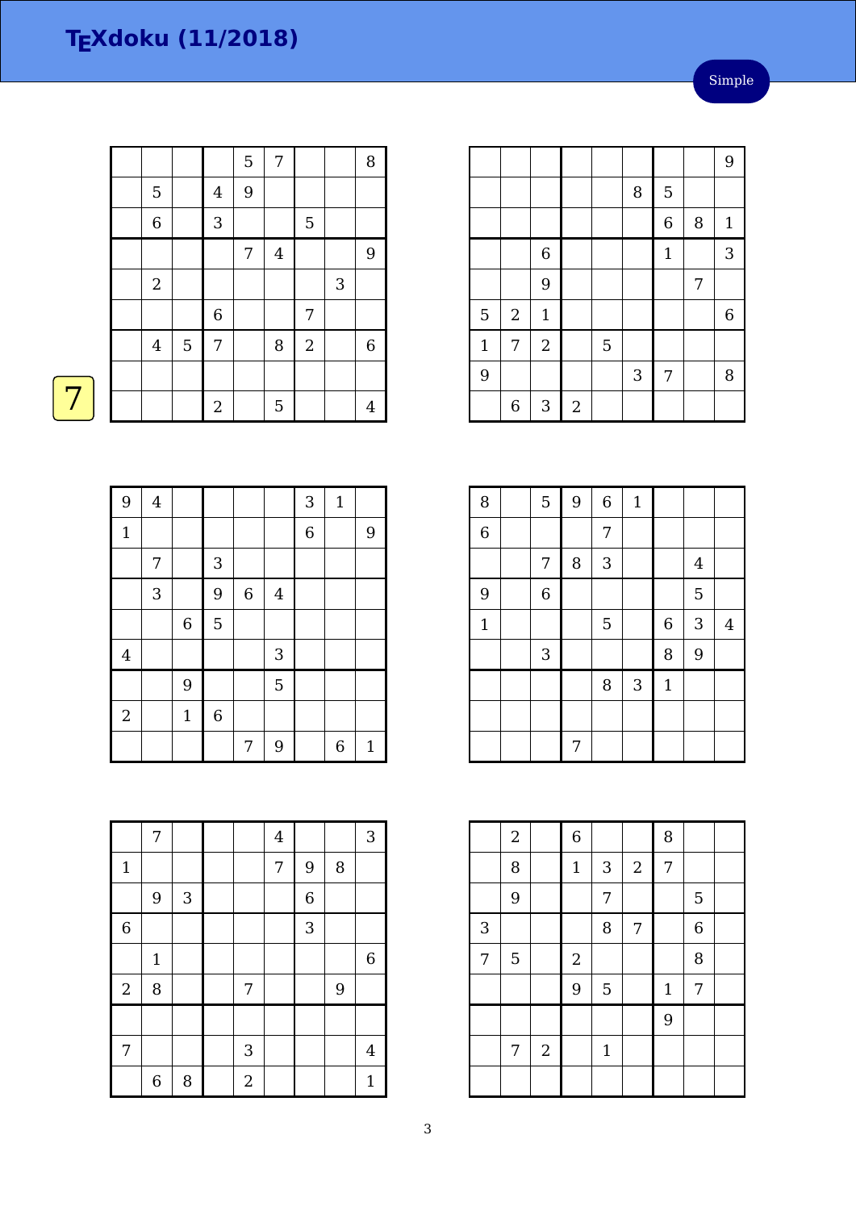|  |                  |   |                | 5 | 7       |                |   | $\, 8$         |
|--|------------------|---|----------------|---|---------|----------------|---|----------------|
|  | $\overline{5}$   |   | $\overline{4}$ | 9 |         |                |   |                |
|  | $\,$ 6 $\,$      |   | 3              |   |         | $\overline{5}$ |   |                |
|  |                  |   |                | 7 | $\bf 4$ |                |   | 9              |
|  | $\boldsymbol{2}$ |   |                |   |         |                | 3 |                |
|  |                  |   | $\,$ 6 $\,$    |   |         | $\overline{7}$ |   |                |
|  | $\bf 4$          | 5 | 7              |   | 8       | $\sqrt{2}$     |   | $\,6\,$        |
|  |                  |   |                |   |         |                |   |                |
|  |                  |   | $\overline{c}$ |   | 5       |                |   | $\overline{4}$ |
|  |                  |   |                |   |         |                |   |                |

|              |                  |              |            |   |   |                |   | 9            |
|--------------|------------------|--------------|------------|---|---|----------------|---|--------------|
|              |                  |              |            |   | 8 | 5              |   |              |
|              |                  |              |            |   |   | $\overline{6}$ | 8 | $\mathbf{1}$ |
|              |                  | $\,$ 6 $\,$  |            |   |   | $\mathbf{1}$   |   | 3            |
|              |                  | 9            |            |   |   |                | 7 |              |
| 5            | $\boldsymbol{2}$ | $\mathbf{1}$ |            |   |   |                |   | $\,$ 6 $\,$  |
| $\mathbf{1}$ | 7                | $\sqrt{2}$   |            | 5 |   |                |   |              |
| 9            |                  |              |            |   | 3 | 7              |   | 8            |
|              | $\boldsymbol{6}$ | $\sqrt{3}$   | $\sqrt{2}$ |   |   |                |   |              |

| 8              | 5              | 9 | $\overline{6}$ | $\mathbf{1}$ |              |         |                |
|----------------|----------------|---|----------------|--------------|--------------|---------|----------------|
| $\overline{6}$ |                |   | 7              |              |              |         |                |
|                | 7              | 8 | 3              |              |              | $\bf 4$ |                |
| 9              | $\overline{6}$ |   |                |              |              | 5       |                |
| $\mathbf{1}$   |                |   | 5              |              | $\,$ 6 $\,$  | 3       | $\overline{4}$ |
|                | $\sqrt{3}$     |   |                |              | 8            | 9       |                |
|                |                |   | 8              | 3            | $\mathbf{1}$ |         |                |
|                |                |   |                |              |              |         |                |
|                |                | 7 |                |              |              |         |                |

|                | $\overline{2}$ |                  | $\overline{6}$ |              |                  | 8           |                |  |
|----------------|----------------|------------------|----------------|--------------|------------------|-------------|----------------|--|
|                | 8              |                  | $\mathbf{1}$   | $\mathbf{3}$ | $\boldsymbol{2}$ | 7           |                |  |
|                | $\overline{9}$ |                  |                | 7            |                  |             | 5              |  |
| 3              |                |                  |                | 8            | 7                |             | $\overline{6}$ |  |
| $\overline{7}$ | $\overline{5}$ |                  | $\sqrt{2}$     |              |                  |             | 8              |  |
|                |                |                  | 9              | 5            |                  | $\mathbf 1$ | 7              |  |
|                |                |                  |                |              |                  | 9           |                |  |
|                | 7              | $\boldsymbol{2}$ |                | $\mathbf 1$  |                  |             |                |  |
|                |                |                  |                |              |                  |             |                |  |

|--|--|

| 9              | $\overline{\mathbf{4}}$ |                |                  |             |                | 3              | $\mathbf 1$      |             |
|----------------|-------------------------|----------------|------------------|-------------|----------------|----------------|------------------|-------------|
| $\mathbf{1}$   |                         |                |                  |             |                | $\overline{6}$ |                  | $9\,$       |
|                | 7                       |                | 3                |             |                |                |                  |             |
|                | 3                       |                | 9                | $\,$ 6 $\,$ | $\overline{4}$ |                |                  |             |
|                |                         | $\overline{6}$ | 5                |             |                |                |                  |             |
| $\overline{4}$ |                         |                |                  |             | 3              |                |                  |             |
|                |                         | 9              |                  |             | $\overline{5}$ |                |                  |             |
| $\sqrt{2}$     |                         | $\mathbf{1}$   | $\boldsymbol{6}$ |             |                |                |                  |             |
|                |                         |                |                  | 7           | 9              |                | $\boldsymbol{6}$ | $\mathbf 1$ |

|                | 7                |            |                  | $\overline{4}$ |                |   | 3              |
|----------------|------------------|------------|------------------|----------------|----------------|---|----------------|
| $\mathbf 1$    |                  |            |                  | 7              | 9              | 8 |                |
|                | $9$              | $\sqrt{3}$ |                  |                | $\overline{6}$ |   |                |
| $\overline{6}$ |                  |            |                  |                | 3              |   |                |
|                | $\mathbf 1$      |            |                  |                |                |   | $\overline{6}$ |
| $\sqrt{2}$     | 8                |            | 7                |                |                | 9 |                |
|                |                  |            |                  |                |                |   |                |
| 7              |                  |            | 3                |                |                |   | $\overline{4}$ |
|                | $\boldsymbol{6}$ | 8          | $\boldsymbol{2}$ |                |                |   | $\mathbf{1}$   |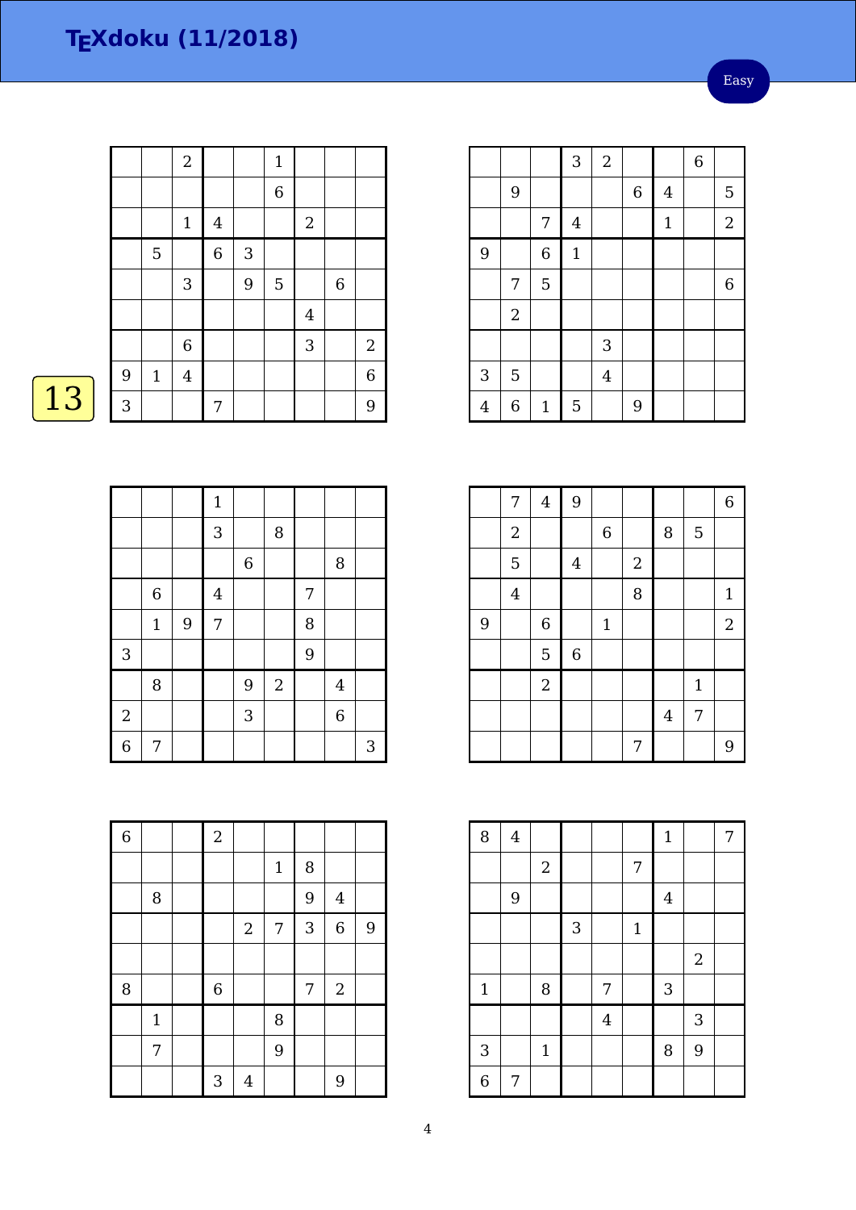Easy

|              | $\sqrt{2}$     |                |            | $\mathbf{1}$   |                |             |                |
|--------------|----------------|----------------|------------|----------------|----------------|-------------|----------------|
|              |                |                |            | $\overline{6}$ |                |             |                |
|              | $\mathbf{1}$   | $\overline{4}$ |            |                | $\sqrt{2}$     |             |                |
| 5            |                | $\overline{6}$ | $\sqrt{3}$ |                |                |             |                |
|              | 3              |                | 9          | 5              |                | $\,$ 6 $\,$ |                |
|              |                |                |            |                | $\overline{4}$ |             |                |
|              | $\overline{6}$ |                |            |                | 3              |             | $\overline{c}$ |
| $\mathbf{1}$ | $\overline{4}$ |                |            |                |                |             | 6              |
|              |                | 7              |            |                |                |             | 9              |
| 9<br>3       |                |                |            |                |                |             |                |

# 

|                |             |   | $\mathbf 1$    |             |            |                |                |   |
|----------------|-------------|---|----------------|-------------|------------|----------------|----------------|---|
|                |             |   | 3              |             | 8          |                |                |   |
|                |             |   |                | $\,$ 6 $\,$ |            |                | $\, 8$         |   |
|                | $\,6$       |   | $\overline{4}$ |             |            | $\overline{7}$ |                |   |
|                | $\mathbf 1$ | 9 | $\overline{7}$ |             |            | 8              |                |   |
| 3              |             |   |                |             |            | 9              |                |   |
|                | 8           |   |                | 9           | $\sqrt{2}$ |                | $\overline{4}$ |   |
| $\overline{c}$ |             |   |                | 3           |            |                | $\,$ 6 $\,$    |   |
| $\frac{1}{6}$  | 7           |   |                |             |            |                |                | 3 |

| $\overline{6}$ |             | $\overline{2}$ |                |       |   |                |                |
|----------------|-------------|----------------|----------------|-------|---|----------------|----------------|
|                |             |                |                | $1\,$ | 8 |                |                |
|                | 8           |                |                |       | 9 | $\overline{4}$ |                |
|                |             |                | $\sqrt{2}$     | 7     | 3 | $\,$ 6 $\,$    | $\overline{9}$ |
|                |             |                |                |       |   |                |                |
| 8              |             | $\,$ 6 $\,$    |                |       | 7 | $\sqrt{2}$     |                |
|                | $\mathbf 1$ |                |                | 8     |   |                |                |
|                | 7           |                |                | 9     |   |                |                |
|                |             | 3              | $\overline{4}$ |       |   | 9              |                |

|                |                |                | 3                | $\overline{2}$ |         |              | $\overline{6}$ |                |
|----------------|----------------|----------------|------------------|----------------|---------|--------------|----------------|----------------|
|                | 9              |                |                  |                | $\,6\,$ | $\bf 4$      |                | 5              |
|                |                | 7              | $\boldsymbol{4}$ |                |         | $\mathbf{1}$ |                | $\overline{a}$ |
| 9              |                | $\overline{6}$ | $\mathbf{1}$     |                |         |              |                |                |
|                | 7              | $\overline{5}$ |                  |                |         |              |                | $\overline{6}$ |
|                | $\sqrt{2}$     |                |                  |                |         |              |                |                |
|                |                |                |                  | 3              |         |              |                |                |
| 3              | 5              |                |                  | $\bf 4$        |         |              |                |                |
| $\overline{4}$ | $\overline{6}$ | $\mathbf{1}$   | $\mathbf 5$      |                | 9       |              |                |                |

|   | 7                | $\bf 4$     | 9           |             |            |         |              | $\boldsymbol{6}$ |
|---|------------------|-------------|-------------|-------------|------------|---------|--------------|------------------|
|   | $\boldsymbol{2}$ |             |             | 6           |            | 8       | 5            |                  |
|   | 5                |             | $\bf 4$     |             | $\sqrt{2}$ |         |              |                  |
|   | $\overline{4}$   |             |             |             | 8          |         |              | $\mathbf{1}$     |
| 9 |                  | $\,$ 6 $\,$ |             | $\mathbf 1$ |            |         |              | $\boldsymbol{2}$ |
|   |                  | 5           | $\,$ 6 $\,$ |             |            |         |              |                  |
|   |                  | $\sqrt{2}$  |             |             |            |         | $\mathbf{1}$ |                  |
|   |                  |             |             |             |            | $\bf 4$ | 7            |                  |
|   |                  |             |             |             | 7          |         |              | 9                |

| 8              | $\bf 4$ |             |   |                |              | $\mathbf 1$             |            | 7 |
|----------------|---------|-------------|---|----------------|--------------|-------------------------|------------|---|
|                |         | $\sqrt{2}$  |   |                | 7            |                         |            |   |
|                | 9       |             |   |                |              | $\overline{\mathbf{4}}$ |            |   |
|                |         |             | 3 |                | $\mathbf{1}$ |                         |            |   |
|                |         |             |   |                |              |                         | $\sqrt{2}$ |   |
| $\mathbf 1$    |         | 8           |   | 7              |              | 3                       |            |   |
|                |         |             |   | $\overline{4}$ |              |                         | 3          |   |
| 3              |         | $\mathbf 1$ |   |                |              | 8                       | 9          |   |
| $\overline{6}$ | 7       |             |   |                |              |                         |            |   |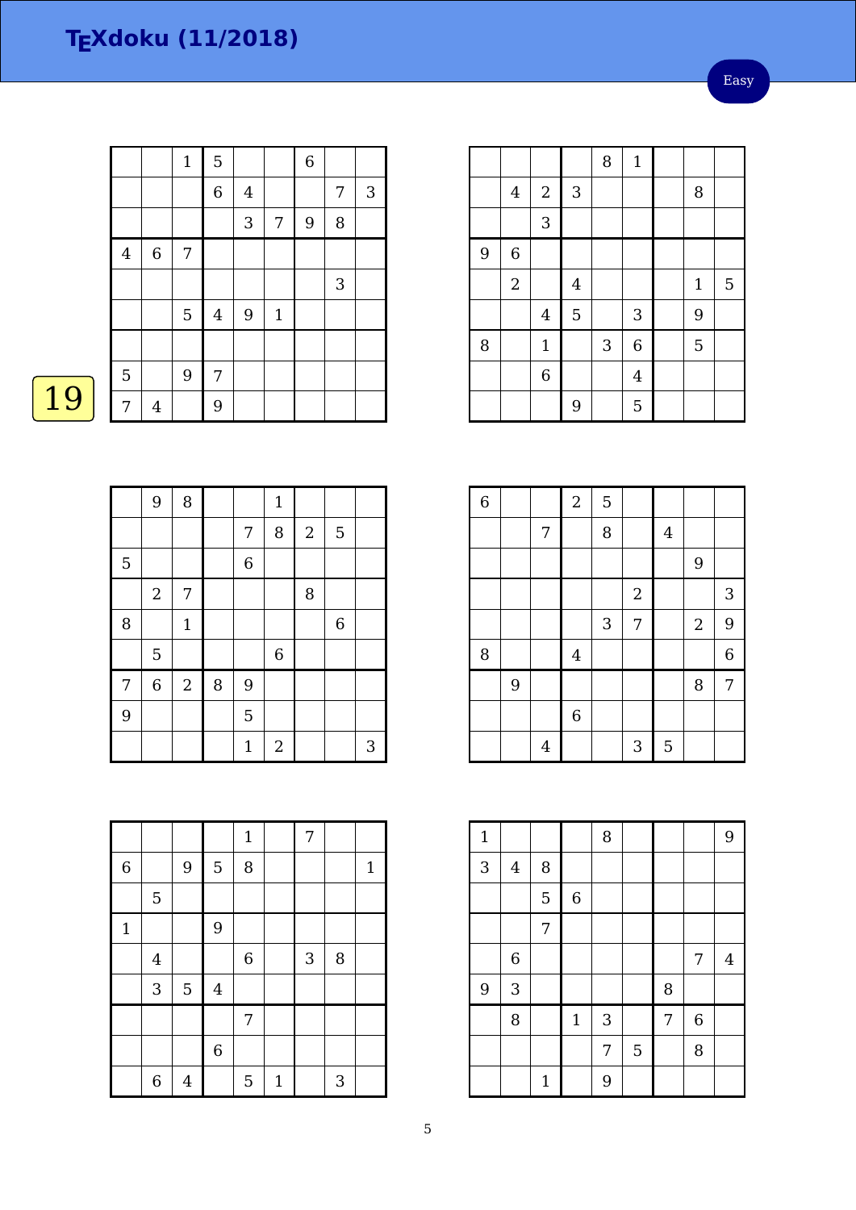Easy

|                |                  | $\mathbf{1}$ | $\overline{5}$ |                |       | $\overline{6}$ |              |   |
|----------------|------------------|--------------|----------------|----------------|-------|----------------|--------------|---|
|                |                  |              | $\overline{6}$ | $\overline{4}$ |       |                | 7            | 3 |
|                |                  |              |                | 3              | 7     | 9              | 8            |   |
| $\bf 4$        | $\boldsymbol{6}$ | 7            |                |                |       |                |              |   |
|                |                  |              |                |                |       |                | $\mathbf{3}$ |   |
|                |                  | 5            | $\overline{4}$ | 9              | $1\,$ |                |              |   |
|                |                  |              |                |                |       |                |              |   |
| $\overline{5}$ |                  | 9            | 7              |                |       |                |              |   |
| 7              | $\overline{4}$   |              | 9              |                |       |                |              |   |

|   | 9              | $\, 8$         |   |                  | $\mathbf{1}$   |                |             |   |
|---|----------------|----------------|---|------------------|----------------|----------------|-------------|---|
|   |                |                |   | $\boldsymbol{7}$ | 8              | $\overline{2}$ | 5           |   |
| 5 |                |                |   | 6                |                |                |             |   |
|   | $\overline{2}$ | 7              |   |                  |                | 8              |             |   |
| 8 |                | $\mathbf{1}$   |   |                  |                |                | $\,$ 6 $\,$ |   |
|   | 5              |                |   |                  | $\,$ 6 $\,$    |                |             |   |
| 7 | 6              | $\overline{2}$ | 8 | 9                |                |                |             |   |
| 9 |                |                |   | 5                |                |                |             |   |
|   |                |                |   | $\mathbf 1$      | $\overline{2}$ |                |             | 3 |

|                |                |                |                | $\mathbf 1$ |              | 7 |   |              |
|----------------|----------------|----------------|----------------|-------------|--------------|---|---|--------------|
| $\overline{6}$ |                | 9              | $\mathbf 5$    | 8           |              |   |   | $\mathbf{1}$ |
|                | 5              |                |                |             |              |   |   |              |
| $\mathbf{1}$   |                |                | 9              |             |              |   |   |              |
|                | $\overline{4}$ |                |                | $\,$ 6 $\,$ |              | 3 | 8 |              |
|                | 3              | 5              | $\overline{4}$ |             |              |   |   |              |
|                |                |                |                | 7           |              |   |   |              |
|                |                |                | $\overline{6}$ |             |              |   |   |              |
|                | 6              | $\overline{4}$ |                | 5           | $\mathbf{1}$ |   | 3 |              |

|   |                         |                  |                | 8          | $\mathbf{1}$   |              |   |
|---|-------------------------|------------------|----------------|------------|----------------|--------------|---|
|   | $\overline{\mathbf{4}}$ | $\boldsymbol{2}$ | $\sqrt{3}$     |            |                | 8            |   |
|   |                         | 3                |                |            |                |              |   |
| 9 | $\overline{6}$          |                  |                |            |                |              |   |
|   | $\sqrt{2}$              |                  | $\bf 4$        |            |                | $\mathbf{1}$ | 5 |
|   |                         | $\overline{4}$   | $\overline{5}$ |            | 3              | 9            |   |
| 8 |                         | $\mathbf{1}$     |                | $\sqrt{3}$ | $\overline{6}$ | 5            |   |
|   |                         | 6                |                |            | $\overline{4}$ |              |   |
|   |                         |                  | 9              |            | 5              |              |   |

| $\overline{6}$ |   |                | $\overline{a}$ | 5 |                |         |                |                |
|----------------|---|----------------|----------------|---|----------------|---------|----------------|----------------|
|                |   | 7              |                | 8 |                | $\bf 4$ |                |                |
|                |   |                |                |   |                |         | $\overline{9}$ |                |
|                |   |                |                |   | $\sqrt{2}$     |         |                | $\mathbf{3}$   |
|                |   |                |                | 3 | $\overline{7}$ |         | $\overline{2}$ | 9              |
| 8              |   |                | $\overline{4}$ |   |                |         |                | $\overline{6}$ |
|                | 9 |                |                |   |                |         | 8              | 7              |
|                |   |                | $\overline{6}$ |   |                |         |                |                |
|                |   | $\overline{4}$ |                |   | 3              | 5       |                |                |

| $\mathbf{1}$ |                         |             |             | 8 |                |   |   | 9              |
|--------------|-------------------------|-------------|-------------|---|----------------|---|---|----------------|
| 3            | $\overline{\mathbf{4}}$ | 8           |             |   |                |   |   |                |
|              |                         | 5           | 6           |   |                |   |   |                |
|              |                         | 7           |             |   |                |   |   |                |
|              | $\,$ 6 $\,$             |             |             |   |                |   | 7 | $\overline{4}$ |
| 9            | 3                       |             |             |   |                | 8 |   |                |
|              | 8                       |             | $\mathbf 1$ | 3 |                | 7 | 6 |                |
|              |                         |             |             | 7 | $\overline{5}$ |   | 8 |                |
|              |                         | $\mathbf 1$ |             | 9 |                |   |   |                |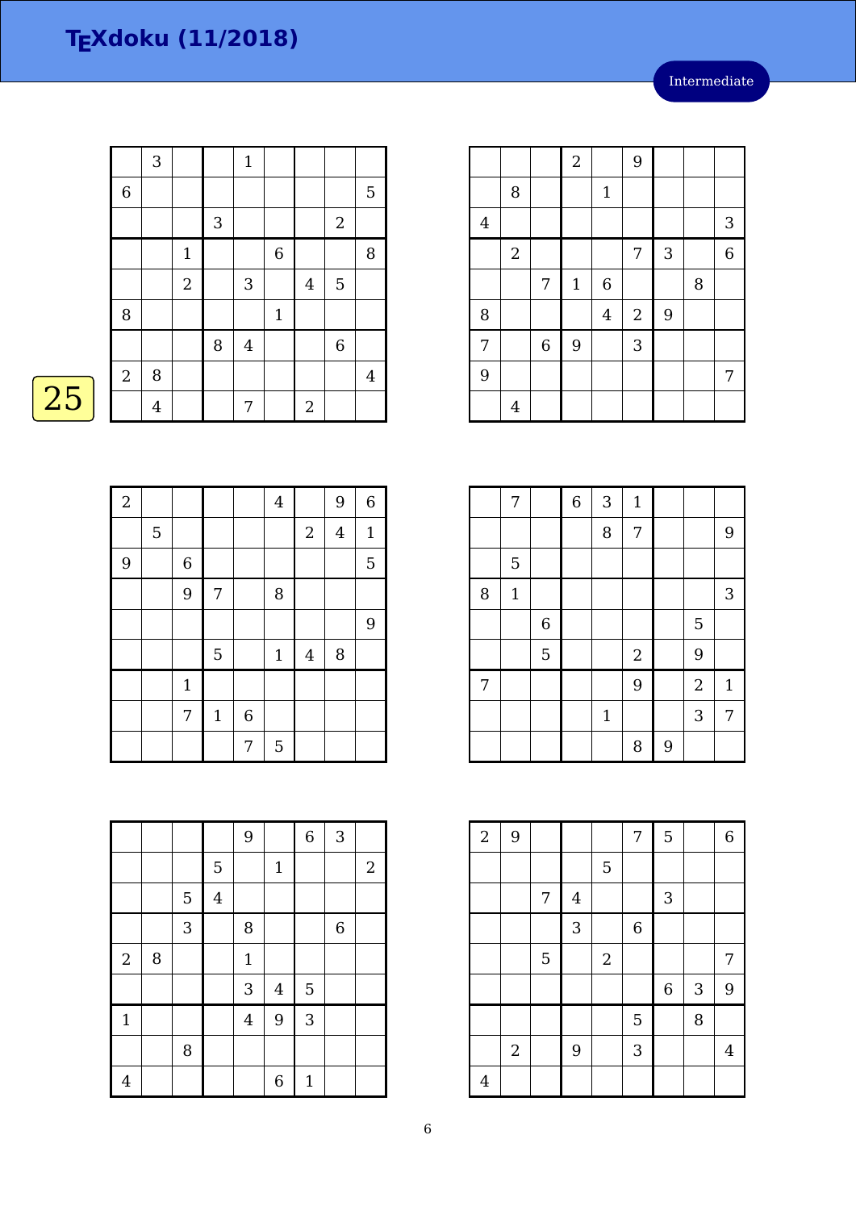|    |             | 3              |                |   | $\mathbf{1}$ |              |                |                  |                |
|----|-------------|----------------|----------------|---|--------------|--------------|----------------|------------------|----------------|
|    | $\,$ 6 $\,$ |                |                |   |              |              |                |                  | $\overline{5}$ |
|    |             |                |                | 3 |              |              |                | $\overline{2}$   |                |
|    |             |                | $\mathbf{1}$   |   |              | $\,$ 6 $\,$  |                |                  | $\, 8$         |
|    |             |                | $\overline{2}$ |   | 3            |              | $\overline{4}$ | 5                |                |
|    | 8           |                |                |   |              | $\mathbf{1}$ |                |                  |                |
|    |             |                |                | 8 | $\bf 4$      |              |                | $\boldsymbol{6}$ |                |
|    | $\sqrt{2}$  | 8              |                |   |              |              |                |                  | $\bf 4$        |
| 25 |             | $\overline{4}$ |                |   | 7            |              | $\overline{2}$ |                  |                |

| $\overline{2}$ |   |             |                |   | $\overline{4}$ |                | 9              | 6           |
|----------------|---|-------------|----------------|---|----------------|----------------|----------------|-------------|
|                | 5 |             |                |   |                | $\sqrt{2}$     | $\overline{4}$ | $\mathbf 1$ |
| 9              |   | $\,$ 6 $\,$ |                |   |                |                |                | 5           |
|                |   | 9           | 7              |   | 8              |                |                |             |
|                |   |             |                |   |                |                |                | 9           |
|                |   |             | $\overline{5}$ |   | $\mathbf{1}$   | $\overline{4}$ | 8              |             |
|                |   | $\mathbf 1$ |                |   |                |                |                |             |
|                |   | 7           | $\mathbf 1$    | 6 |                |                |                |             |
|                |   |             |                | 7 | 5              |                |                |             |

|                |   |   |                | 9                       |                  | $\overline{6}$ | $\mathbf{3}$     |                  |
|----------------|---|---|----------------|-------------------------|------------------|----------------|------------------|------------------|
|                |   |   | 5              |                         | $1\,$            |                |                  | $\boldsymbol{2}$ |
|                |   | 5 | $\overline{4}$ |                         |                  |                |                  |                  |
|                |   | 3 |                | 8                       |                  |                | $\boldsymbol{6}$ |                  |
| $\sqrt{2}$     | 8 |   |                | $\mathbf{1}$            |                  |                |                  |                  |
|                |   |   |                | $\mathbf{3}$            | $\boldsymbol{4}$ | 5              |                  |                  |
| $\mathbf{1}$   |   |   |                | $\overline{\mathbf{4}}$ | 9                | 3              |                  |                  |
|                |   | 8 |                |                         |                  |                |                  |                  |
| $\overline{4}$ |   |   |                |                         | 6                | $\mathbf{1}$   |                  |                  |

|                |                |                | $\overline{a}$ |             | 9              |                |   |                |
|----------------|----------------|----------------|----------------|-------------|----------------|----------------|---|----------------|
|                | 8              |                |                | $1\,$       |                |                |   |                |
| $\bf 4$        |                |                |                |             |                |                |   | $\sqrt{3}$     |
|                | $\sqrt{2}$     |                |                |             | $\overline{7}$ | 3              |   | $\overline{6}$ |
|                |                | 7              | $\mathbf{1}$   | $\,$ 6 $\,$ |                |                | 8 |                |
| $\, 8$         |                |                |                | $\bf 4$     | $\sqrt{2}$     | $\overline{9}$ |   |                |
| $\overline{7}$ |                | $\overline{6}$ | 9              |             | 3              |                |   |                |
| 9              |                |                |                |             |                |                |   | 7              |
|                | $\overline{4}$ |                |                |             |                |                |   |                |

|   | 7              |   | $\,$ 6 $\,$ | 3            | $\mathbf{1}$ |   |                |              |
|---|----------------|---|-------------|--------------|--------------|---|----------------|--------------|
|   |                |   |             | 8            | 7            |   |                | 9            |
|   | $\overline{5}$ |   |             |              |              |   |                |              |
| 8 | $1\,$          |   |             |              |              |   |                | 3            |
|   |                | 6 |             |              |              |   | 5              |              |
|   |                | 5 |             |              | $\sqrt{2}$   |   | 9              |              |
| 7 |                |   |             |              | 9            |   | $\overline{c}$ | $\mathbf{1}$ |
|   |                |   |             | $\mathbf{1}$ |              |   | 3              | 7            |
|   |                |   |             |              | 8            | 9 |                |              |

| $\overline{a}$ | 9          |                  |                |            | $\overline{7}$ | 5            |   | $\,$ 6 $\,$ |
|----------------|------------|------------------|----------------|------------|----------------|--------------|---|-------------|
|                |            |                  |                | 5          |                |              |   |             |
|                |            | $\boldsymbol{7}$ | $\overline{4}$ |            |                | $\mathbf{3}$ |   |             |
|                |            |                  | 3              |            | $\overline{6}$ |              |   |             |
|                |            | 5                |                | $\sqrt{2}$ |                |              |   | 7           |
|                |            |                  |                |            |                | $\,$ 6 $\,$  | 3 | 9           |
|                |            |                  |                |            | 5              |              | 8 |             |
|                | $\sqrt{2}$ |                  | 9              |            | 3              |              |   | 4           |
| $\overline{4}$ |            |                  |                |            |                |              |   |             |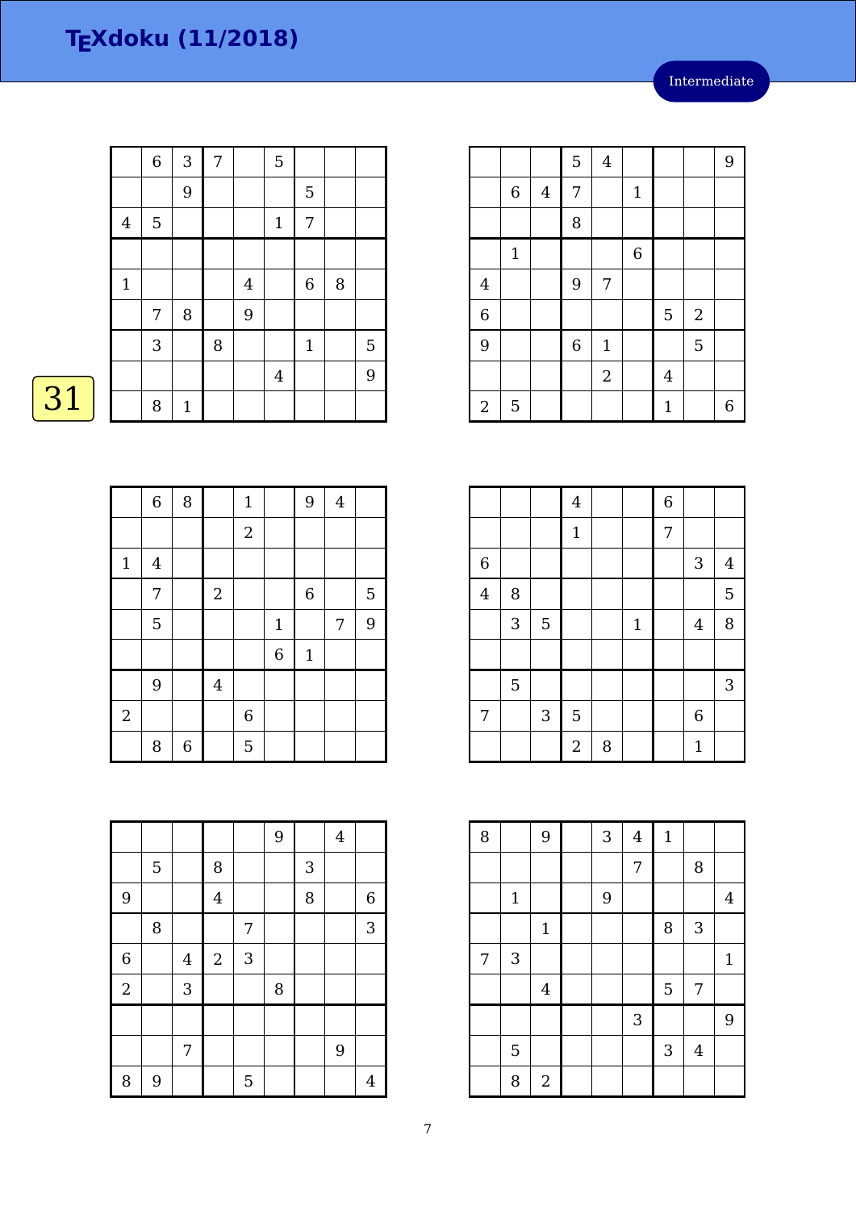|              | $\,$ 6 $\,$ | 3            | $\overline{7}$ |                | 5              |             |   |   |
|--------------|-------------|--------------|----------------|----------------|----------------|-------------|---|---|
|              |             | 9            |                |                |                | 5           |   |   |
| $\bf 4$      | $\mathbf 5$ |              |                |                | $\mathbf{1}$   | 7           |   |   |
|              |             |              |                |                |                |             |   |   |
| $\mathbf{1}$ |             |              |                | $\overline{4}$ |                | $\,$ 6 $\,$ | 8 |   |
|              | 7           | 8            |                | 9              |                |             |   |   |
|              | 3           |              | 8              |                |                | $1\,$       |   | 5 |
|              |             |              |                |                | $\overline{4}$ |             |   | 9 |
|              | 8           | $\mathbf{1}$ |                |                |                |             |   |   |

# $\overline{31}$

|                  | $\,$ 6 $\,$             | $\, 8$      |                | $\mathbf 1$      |                | 9              | $\overline{4}$ |   |
|------------------|-------------------------|-------------|----------------|------------------|----------------|----------------|----------------|---|
|                  |                         |             |                | $\sqrt{2}$       |                |                |                |   |
| $\mathbf 1$      | $\overline{\mathbf{4}}$ |             |                |                  |                |                |                |   |
|                  | 7                       |             | $\sqrt{2}$     |                  |                | $\overline{6}$ |                | 5 |
|                  | 5                       |             |                |                  | $\mathbf{1}$   |                | 7              | 9 |
|                  |                         |             |                |                  | $\overline{6}$ | $\mathbf{1}$   |                |   |
|                  | 9                       |             | $\overline{4}$ |                  |                |                |                |   |
| $\boldsymbol{2}$ |                         |             |                | $\boldsymbol{6}$ |                |                |                |   |
|                  | 8                       | $\,$ 6 $\,$ |                | 5                |                |                |                |   |

|                |   |                |                |   | 9 |              | $\overline{4}$ |                |
|----------------|---|----------------|----------------|---|---|--------------|----------------|----------------|
|                | 5 |                | 8              |   |   | $\mathbf{3}$ |                |                |
| 9              |   |                | $\overline{4}$ |   |   | 8            |                | $\overline{6}$ |
|                | 8 |                |                | 7 |   |              |                | 3              |
| $\overline{6}$ |   | $\overline{4}$ | $\sqrt{2}$     | 3 |   |              |                |                |
| $\overline{a}$ |   | 3              |                |   | 8 |              |                |                |
|                |   |                |                |   |   |              |                |                |
|                |   | 7              |                |   |   |              | 9              |                |
| 8              | 9 |                |                | 5 |   |              |                | $\overline{4}$ |

|                |             |         | 5           | $\bf 4$     |                  |              |                | 9 |
|----------------|-------------|---------|-------------|-------------|------------------|--------------|----------------|---|
|                | $\,$ 6 $\,$ | $\bf 4$ | 7           |             | $\mathbf 1$      |              |                |   |
|                |             |         | 8           |             |                  |              |                |   |
|                | $\mathbf 1$ |         |             |             | $\boldsymbol{6}$ |              |                |   |
| $\bf 4$        |             |         | 9           | 7           |                  |              |                |   |
| $\overline{6}$ |             |         |             |             |                  | 5            | $\overline{2}$ |   |
| 9              |             |         | $\,$ 6 $\,$ | $\mathbf 1$ |                  |              | 5              |   |
|                |             |         |             | $\sqrt{2}$  |                  | $\bf 4$      |                |   |
| $\overline{2}$ | 5           |         |             |             |                  | $\mathbf{1}$ |                | 6 |

|                         |                |                | $\overline{4}$ |   |             | $\overline{6}$ |                           |                |
|-------------------------|----------------|----------------|----------------|---|-------------|----------------|---------------------------|----------------|
|                         |                |                | $\mathbf 1$    |   |             | $\overline{7}$ |                           |                |
| $\overline{6}$          |                |                |                |   |             |                | $\ensuremath{\mathsf{3}}$ | $\overline{4}$ |
| $\overline{\mathbf{4}}$ | 8              |                |                |   |             |                |                           | 5              |
|                         | 3              | $\overline{5}$ |                |   | $\mathbf 1$ |                | $\overline{4}$            | 8              |
|                         |                |                |                |   |             |                |                           |                |
|                         | $\overline{5}$ |                |                |   |             |                |                           | 3              |
| 7                       |                | $\sqrt{3}$     | 5              |   |             |                | $\boldsymbol{6}$          |                |
|                         |                |                | $\overline{2}$ | 8 |             |                | $\mathbf{1}$              |                |

| 8 |             | 9              | $\sqrt{3}$     | $\overline{4}$ | $\mathbf{1}$ |                |                |
|---|-------------|----------------|----------------|----------------|--------------|----------------|----------------|
|   |             |                |                | 7              |              | 8              |                |
|   | $\mathbf 1$ |                | $\overline{9}$ |                |              |                | $\overline{4}$ |
|   |             | $\mathbf{1}$   |                |                | 8            | 3              |                |
| 7 | 3           |                |                |                |              |                | $\mathbf{1}$   |
|   |             | $\overline{4}$ |                |                | 5            | 7              |                |
|   |             |                |                | $\sqrt{3}$     |              |                | 9              |
|   | 5           |                |                |                | 3            | $\overline{4}$ |                |
|   | 8           | $\sqrt{2}$     |                |                |              |                |                |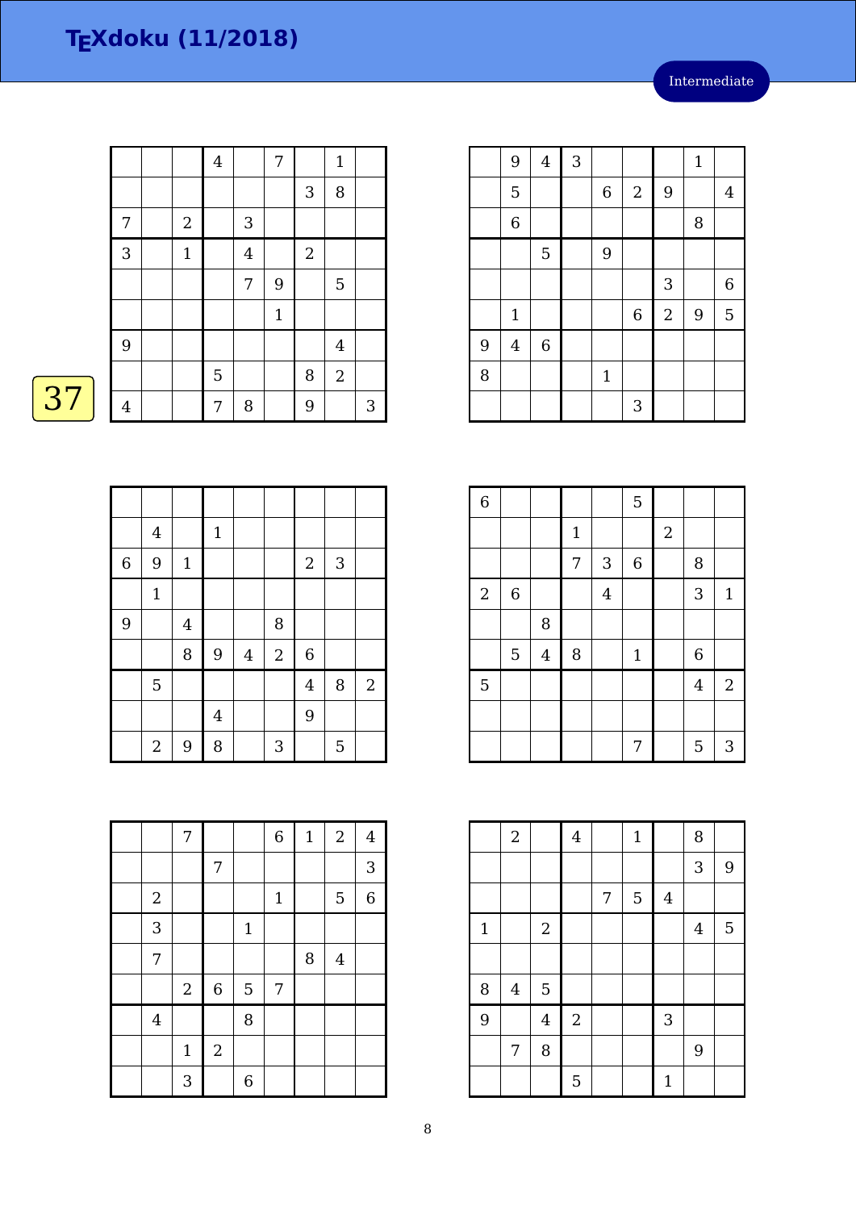|    |                |                | $\overline{4}$ |                | 7            |            | $\mathbf{1}$   |   |
|----|----------------|----------------|----------------|----------------|--------------|------------|----------------|---|
|    |                |                |                |                |              | 3          | $\, 8$         |   |
|    | 7              | $\overline{2}$ |                | $\sqrt{3}$     |              |            |                |   |
|    | 3              | $\mathbf{1}$   |                | $\overline{4}$ |              | $\sqrt{2}$ |                |   |
|    |                |                |                | 7              | 9            |            | 5              |   |
|    |                |                |                |                | $\mathbf{1}$ |            |                |   |
|    | 9              |                |                |                |              |            | $\overline{4}$ |   |
|    |                |                | 5              |                |              | 8          | $\sqrt{2}$     |   |
| 37 | $\overline{4}$ |                | 7              | 8              |              | 9          |                | 3 |

|                | $\bf 4$      |                | $\mathbf 1$    |         |            |                |              |                |
|----------------|--------------|----------------|----------------|---------|------------|----------------|--------------|----------------|
| $\overline{6}$ | 9            | $\mathbf{1}$   |                |         |            | $\sqrt{2}$     | $\mathbf{3}$ |                |
|                | $\mathbf{1}$ |                |                |         |            |                |              |                |
| 9              |              | $\overline{4}$ |                |         | 8          |                |              |                |
|                |              | 8              | $\overline{9}$ | $\bf 4$ | $\sqrt{2}$ | $\overline{6}$ |              |                |
|                | 5            |                |                |         |            | $\overline{4}$ | 8            | $\overline{2}$ |
|                |              |                | $\bf 4$        |         |            | 9              |              |                |
|                | $\sqrt{2}$   | 9              | 8              |         | 3          |                | 5            |                |

|   | 9              | $\overline{\mathbf{4}}$ | 3 |                  |                |            | $\mathbf{1}$ |                |
|---|----------------|-------------------------|---|------------------|----------------|------------|--------------|----------------|
|   | 5              |                         |   | $\boldsymbol{6}$ | $\sqrt{2}$     | 9          |              | $\overline{4}$ |
|   | $\overline{6}$ |                         |   |                  |                |            | 8            |                |
|   |                | 5                       |   | 9                |                |            |              |                |
|   |                |                         |   |                  |                | 3          |              | 6              |
|   | $\mathbf{1}$   |                         |   |                  | $\overline{6}$ | $\sqrt{2}$ | 9            | 5              |
| 9 | $\overline{4}$ | $\,$ 6 $\,$             |   |                  |                |            |              |                |
| 8 |                |                         |   | $1\,$            |                |            |              |                |
|   |                |                         |   |                  | 3              |            |              |                |

| $\overline{6}$   |             |         |       |                | 5              |                  |                |                |
|------------------|-------------|---------|-------|----------------|----------------|------------------|----------------|----------------|
|                  |             |         | $1\,$ |                |                | $\boldsymbol{2}$ |                |                |
|                  |             |         | 7     | 3              | $\overline{6}$ |                  | 8              |                |
| $\boldsymbol{2}$ | $\,$ 6 $\,$ |         |       | $\overline{4}$ |                |                  | 3              | $\mathbf{1}$   |
|                  |             | 8       |       |                |                |                  |                |                |
|                  | 5           | $\bf 4$ | 8     |                | $\mathbf{1}$   |                  | 6              |                |
| $\overline{5}$   |             |         |       |                |                |                  | $\overline{4}$ | $\overline{2}$ |
|                  |             |         |       |                |                |                  |                |                |
|                  |             |         |       |                | 7              |                  | 5              | 3              |

|                | $\boldsymbol{2}$        |                | $\bf 4$    |                | $\mathbf{1}$ |             | 8       |   |
|----------------|-------------------------|----------------|------------|----------------|--------------|-------------|---------|---|
|                |                         |                |            |                |              |             | 3       | 9 |
|                |                         |                |            | $\overline{7}$ | 5            | $\bf 4$     |         |   |
| $\mathbf{1}$   |                         | $\sqrt{2}$     |            |                |              |             | $\bf 4$ | 5 |
|                |                         |                |            |                |              |             |         |   |
| 8              | $\overline{\mathbf{4}}$ | $\overline{5}$ |            |                |              |             |         |   |
| $\overline{9}$ |                         | $\overline{4}$ | $\sqrt{2}$ |                |              | 3           |         |   |
|                | 7                       | 8              |            |                |              |             | 9       |   |
|                |                         |                | 5          |                |              | $\mathbf 1$ |         |   |

|            | 7           |             |       | $\overline{6}$ | $\mathbf{1}$ | $\sqrt{2}$     | $\overline{4}$ |
|------------|-------------|-------------|-------|----------------|--------------|----------------|----------------|
|            |             | 7           |       |                |              |                | 3              |
| $\sqrt{2}$ |             |             |       | $\mathbf 1$    |              | 5              | $\,$ 6 $\,$    |
| 3          |             |             | $1\,$ |                |              |                |                |
| 7          |             |             |       |                | 8            | $\overline{4}$ |                |
|            | $\sqrt{2}$  | $\,$ 6 $\,$ | 5     | 7              |              |                |                |
| $\bf 4$    |             |             | 8     |                |              |                |                |
|            | $\mathbf 1$ | $\sqrt{2}$  |       |                |              |                |                |
|            | 3           |             | 6     |                |              |                |                |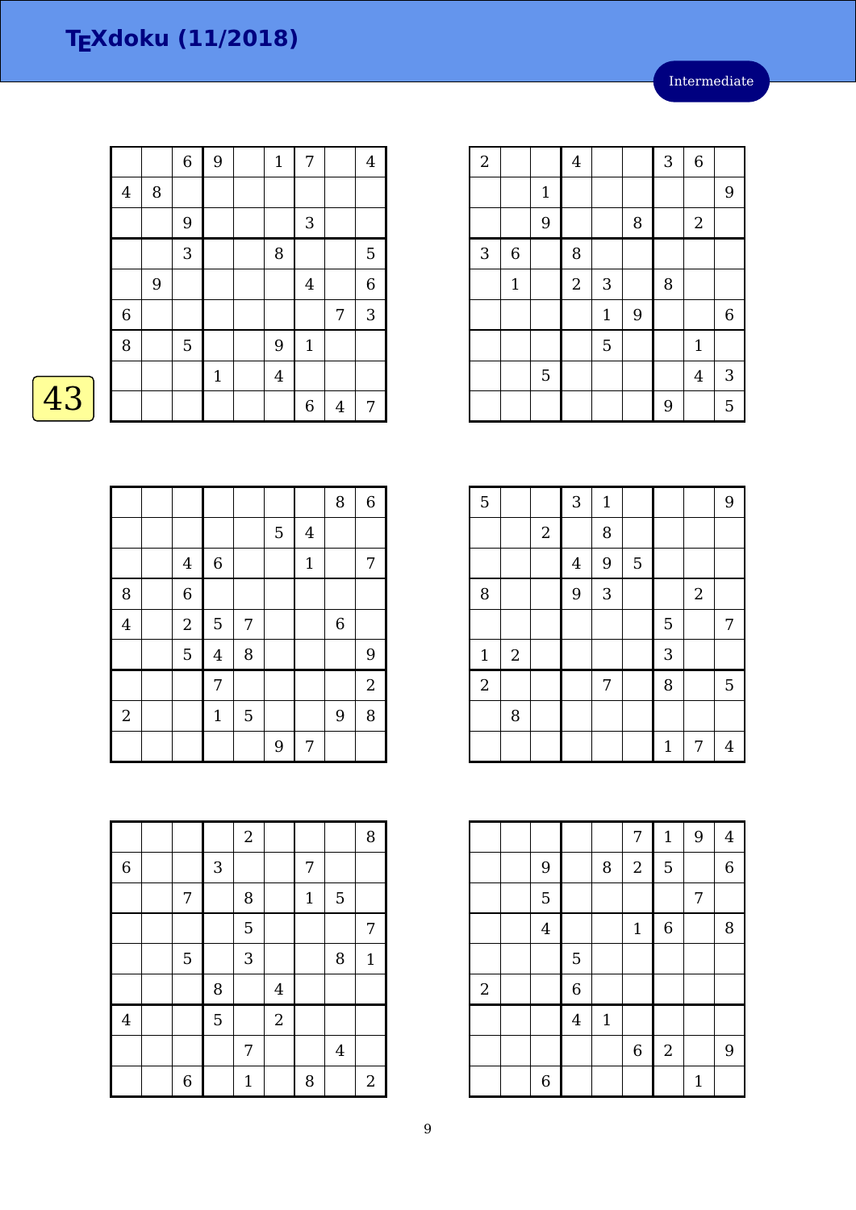|    |                  |   | $\,6\,$          | 9            | $\mathbf{1}$ | 7              |   | $\overline{4}$ |
|----|------------------|---|------------------|--------------|--------------|----------------|---|----------------|
|    | $\overline{4}$   | 8 |                  |              |              |                |   |                |
|    |                  |   | $\boldsymbol{9}$ |              |              | 3              |   |                |
|    |                  |   | $\sqrt{3}$       |              | $\, 8$       |                |   | $\overline{5}$ |
|    |                  | 9 |                  |              |              | $\overline{4}$ |   | $\overline{6}$ |
|    | $\boldsymbol{6}$ |   |                  |              |              |                | 7 | 3              |
|    | 8                |   | 5                |              | 9            | $\mathbf{1}$   |   |                |
|    |                  |   |                  | $\mathbf{1}$ | $\bf 4$      |                |   |                |
| 43 |                  |   |                  |              |              | 6              | 4 | 7              |

| Λ |  |
|---|--|
|   |  |

|                |                |                  |   |   |                | 8                | $\,6\,$        |
|----------------|----------------|------------------|---|---|----------------|------------------|----------------|
|                |                |                  |   | 5 | $\overline{4}$ |                  |                |
|                | $\bf 4$        | $\boldsymbol{6}$ |   |   | $\mathbf{1}$   |                  | 7              |
| 8              | $\overline{6}$ |                  |   |   |                |                  |                |
| $\overline{4}$ | $\overline{c}$ | $\overline{5}$   | 7 |   |                | $\boldsymbol{6}$ |                |
|                | 5              | $\overline{4}$   | 8 |   |                |                  | 9              |
|                |                | 7                |   |   |                |                  | $\overline{2}$ |
| $\overline{2}$ |                | $\mathbf{1}$     | 5 |   |                | 9                | 8              |
|                |                |                  |   | 9 | 7              |                  |                |

| $\overline{a}$ |                  |             | $\overline{4}$ |             |   | 3 | $\overline{6}$ |             |
|----------------|------------------|-------------|----------------|-------------|---|---|----------------|-------------|
|                |                  | $\mathbf 1$ |                |             |   |   |                | 9           |
|                |                  | 9           |                |             | 8 |   | $\overline{2}$ |             |
| 3              | $\boldsymbol{6}$ |             | 8              |             |   |   |                |             |
|                | $\mathbf 1$      |             | $\overline{c}$ | 3           |   | 8 |                |             |
|                |                  |             |                | $\mathbf 1$ | 9 |   |                | $\,$ 6 $\,$ |
|                |                  |             |                | 5           |   |   | $\mathbf{1}$   |             |
|                |                  | 5           |                |             |   |   | $\overline{4}$ | 3           |
|                |                  |             |                |             |   | 9 |                | 5           |

| $\overline{5}$ |            |            | 3              | $\mathbf{1}$ |   |              |            | 9 |
|----------------|------------|------------|----------------|--------------|---|--------------|------------|---|
|                |            | $\sqrt{2}$ |                | 8            |   |              |            |   |
|                |            |            | $\overline{4}$ | 9            | 5 |              |            |   |
| 8              |            |            | 9              | 3            |   |              | $\sqrt{2}$ |   |
|                |            |            |                |              |   | 5            |            | 7 |
| $\mathbf 1$    | $\sqrt{2}$ |            |                |              |   | 3            |            |   |
| $\overline{2}$ |            |            |                | 7            |   | 8            |            | 5 |
|                | 8          |            |                |              |   |              |            |   |
|                |            |            |                |              |   | $\mathbf{1}$ | 7          | 4 |

|            |                |                |              | 7           | $\mathbf{1}$   | 9            | $\overline{4}$   |
|------------|----------------|----------------|--------------|-------------|----------------|--------------|------------------|
|            | 9              |                | 8            | $\sqrt{2}$  | $\overline{5}$ |              | $\boldsymbol{6}$ |
|            | 5              |                |              |             |                | 7            |                  |
|            | $\overline{4}$ |                |              | $\mathbf 1$ | $\,$ 6 $\,$    |              | 8                |
|            |                | 5              |              |             |                |              |                  |
| $\sqrt{2}$ |                | 6              |              |             |                |              |                  |
|            |                | $\overline{4}$ | $\mathbf{1}$ |             |                |              |                  |
|            |                |                |              | $\,$ 6 $\,$ | $\overline{2}$ |              | 9                |
|            | 6              |                |              |             |                | $\mathbf{1}$ |                  |

|                  |                |              | $\boldsymbol{2}$ |                |              |         | 8            |
|------------------|----------------|--------------|------------------|----------------|--------------|---------|--------------|
| $\boldsymbol{6}$ |                | $\mathbf{3}$ |                  |                | 7            |         |              |
|                  | 7              |              | 8                |                | $\mathbf{1}$ | 5       |              |
|                  |                |              | 5                |                |              |         | 7            |
|                  | $\mathbf 5$    |              | 3                |                |              | 8       | $\mathbf{1}$ |
|                  |                | 8            |                  | $\overline{4}$ |              |         |              |
| $\overline{4}$   |                | 5            |                  | $\overline{2}$ |              |         |              |
|                  |                |              | 7                |                |              | $\bf 4$ |              |
|                  | $\overline{6}$ |              | $\mathbf 1$      |                | 8            |         | $\mathbf{2}$ |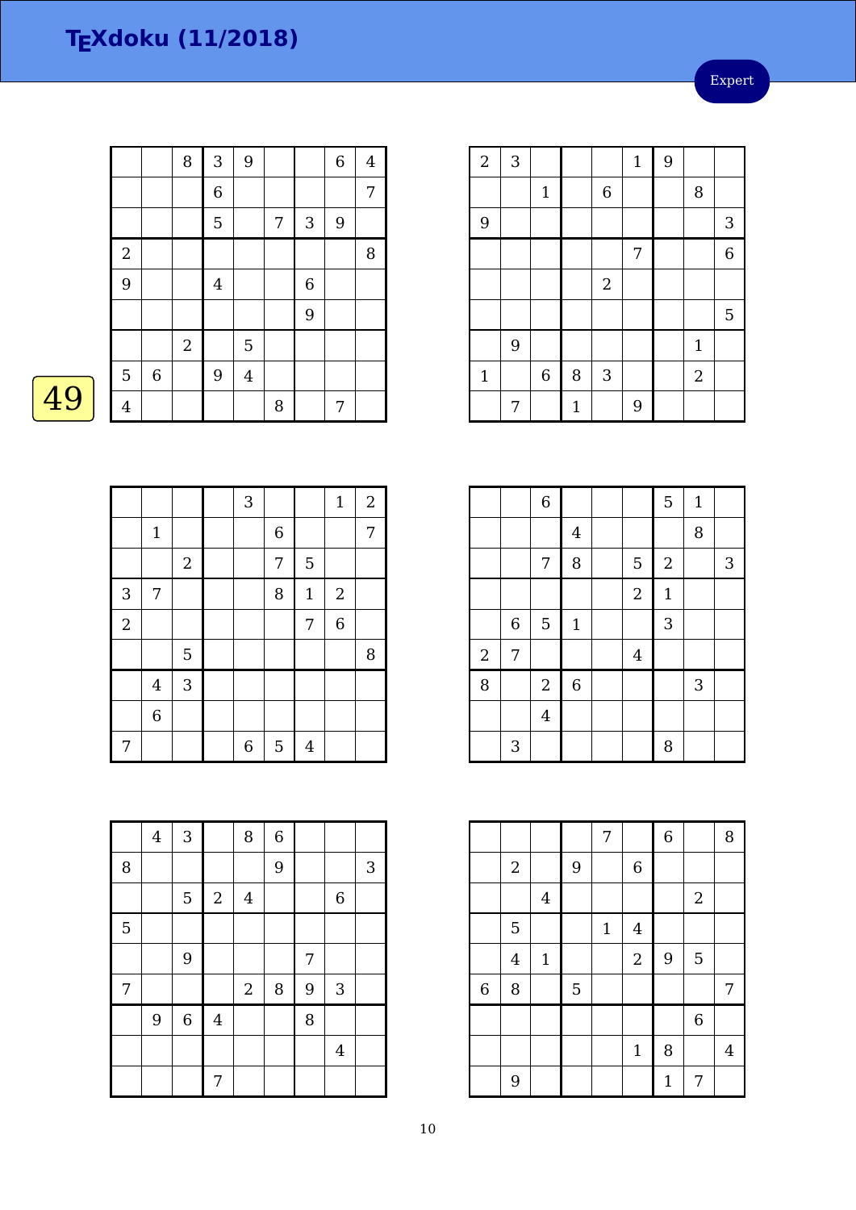Expert

|    |                |             | 8          | 3              | 9       |   |                  | $\boldsymbol{6}$ | $\overline{4}$ |
|----|----------------|-------------|------------|----------------|---------|---|------------------|------------------|----------------|
|    |                |             |            | $\,$ 6 $\,$    |         |   |                  |                  | 7              |
|    |                |             |            | 5              |         | 7 | 3                | 9                |                |
|    | $\sqrt{2}$     |             |            |                |         |   |                  |                  | 8              |
|    | 9              |             |            | $\overline{4}$ |         |   | $\boldsymbol{6}$ |                  |                |
|    |                |             |            |                |         |   | 9                |                  |                |
|    |                |             | $\sqrt{2}$ |                | 5       |   |                  |                  |                |
|    | 5              | $\,$ 6 $\,$ |            | 9              | $\bf 4$ |   |                  |                  |                |
| 49 | $\overline{4}$ |             |            |                |         | 8 |                  | 7                |                |
|    |                |             |            |                |         |   |                  |                  |                |

|                |                |            | $\sqrt{3}$  |                |                | $\mathbf{1}$   | $\boldsymbol{2}$ |
|----------------|----------------|------------|-------------|----------------|----------------|----------------|------------------|
|                | $\mathbf 1$    |            |             | $\overline{6}$ |                |                | 7                |
|                |                | $\sqrt{2}$ |             | 7              | 5              |                |                  |
| 3              | 7              |            |             | 8              | $\mathbf 1$    | $\sqrt{2}$     |                  |
| $\overline{a}$ |                |            |             |                | 7              | $\overline{6}$ |                  |
|                |                | 5          |             |                |                |                | 8                |
|                | $\overline{4}$ | 3          |             |                |                |                |                  |
|                | 6              |            |             |                |                |                |                  |
| 7              |                |            | $\,$ 6 $\,$ | 5              | $\overline{4}$ |                |                  |

|   | $\boldsymbol{4}$ | $\mathbf{3}$ |                         | 8                | $\sqrt{6}$ |                |              |              |
|---|------------------|--------------|-------------------------|------------------|------------|----------------|--------------|--------------|
| 8 |                  |              |                         |                  | 9          |                |              | $\mathbf{3}$ |
|   |                  | 5            | $\sqrt{2}$              | $\bf 4$          |            |                | $\,6\,$      |              |
| 5 |                  |              |                         |                  |            |                |              |              |
|   |                  | 9            |                         |                  |            | $\overline{7}$ |              |              |
| 7 |                  |              |                         | $\boldsymbol{2}$ | $\, 8$     | 9              | $\mathbf{3}$ |              |
|   | 9                | $\,$ 6 $\,$  | $\overline{\mathbf{4}}$ |                  |            | 8              |              |              |
|   |                  |              |                         |                  |            |                | $\bf 4$      |              |
|   |                  |              | 7                       |                  |            |                |              |              |

| $\overline{a}$ | 3 |                |              |                           | $\mathbf{1}$ | 9 |              |                |
|----------------|---|----------------|--------------|---------------------------|--------------|---|--------------|----------------|
|                |   | $\mathbf{1}$   |              | $\,$ 6 $\,$               |              |   | 8            |                |
| 9              |   |                |              |                           |              |   |              | $\mathbf{3}$   |
|                |   |                |              |                           | 7            |   |              | $\overline{6}$ |
|                |   |                |              | $\sqrt{2}$                |              |   |              |                |
|                |   |                |              |                           |              |   |              | $\overline{5}$ |
|                | 9 |                |              |                           |              |   | $\mathbf{1}$ |                |
| $\mathbf{1}$   |   | $\overline{6}$ | 8            | $\ensuremath{\mathsf{3}}$ |              |   | $\sqrt{2}$   |                |
|                | 7 |                | $\mathbf{1}$ |                           | 9            |   |              |                |

|                |                  | $\overline{6}$ |             |                | 5                | $1\,$ |   |
|----------------|------------------|----------------|-------------|----------------|------------------|-------|---|
|                |                  |                | $\bf 4$     |                |                  | 8     |   |
|                |                  | 7              | 8           | 5              | $\boldsymbol{2}$ |       | 3 |
|                |                  |                |             | $\sqrt{2}$     | $\mathbf{1}$     |       |   |
|                | $\boldsymbol{6}$ | $\overline{5}$ | $1\,$       |                | 3                |       |   |
| $\overline{c}$ | 7                |                |             | $\overline{4}$ |                  |       |   |
| 8              |                  | $\sqrt{2}$     | $\,$ 6 $\,$ |                |                  | 3     |   |
|                |                  | $\overline{4}$ |             |                |                  |       |   |
|                | 3                |                |             |                | 8                |       |   |

|                |                |                |   | 7     |                | $\,$ 6 $\,$  |                | 8              |
|----------------|----------------|----------------|---|-------|----------------|--------------|----------------|----------------|
|                | $\sqrt{2}$     |                | 9 |       | $\overline{6}$ |              |                |                |
|                |                | $\overline{4}$ |   |       |                |              | $\sqrt{2}$     |                |
|                | 5              |                |   | $1\,$ | $\overline{4}$ |              |                |                |
|                | $\overline{4}$ | $\mathbf 1$    |   |       | $\sqrt{2}$     | 9            | $\overline{5}$ |                |
| $\overline{6}$ | 8              |                | 5 |       |                |              |                | 7              |
|                |                |                |   |       |                |              | $\overline{6}$ |                |
|                |                |                |   |       | $\mathbf{1}$   | 8            |                | $\overline{4}$ |
|                | 9              |                |   |       |                | $\mathbf{1}$ | 7              |                |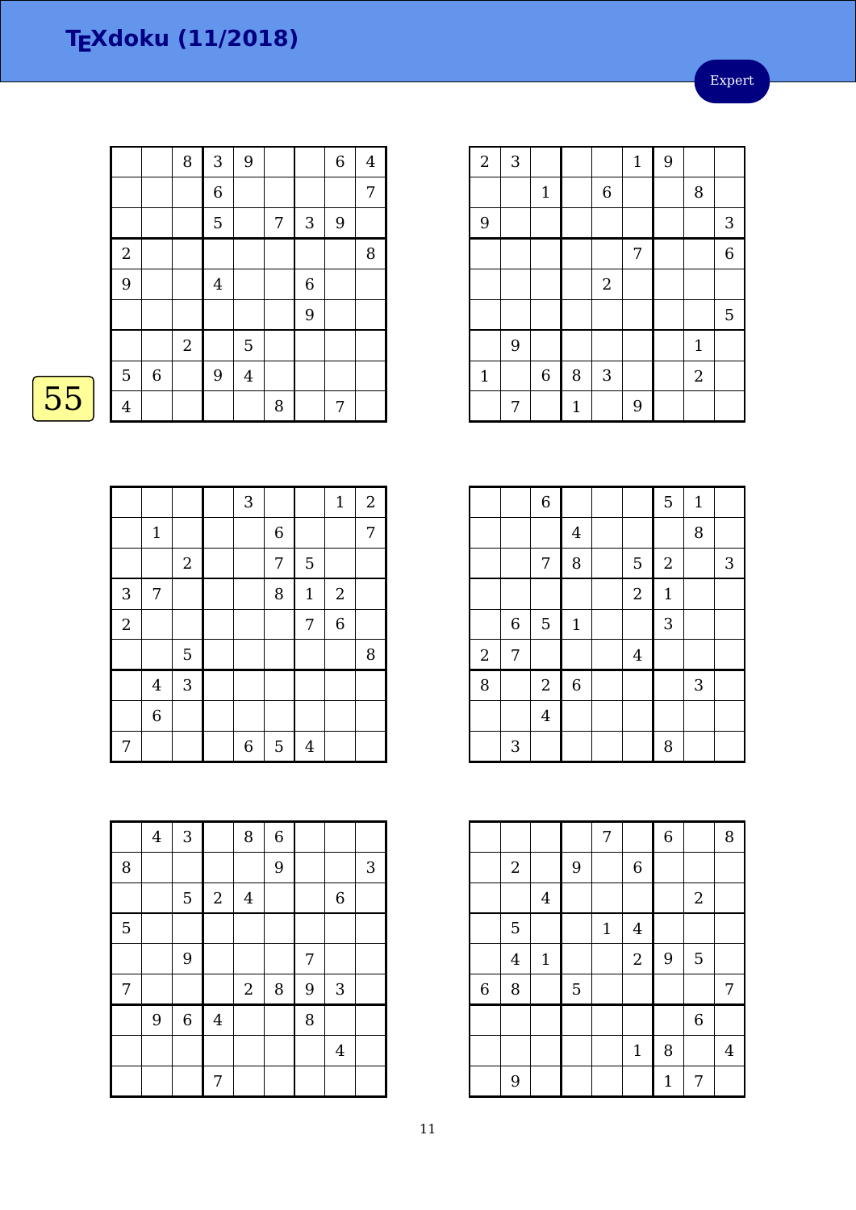Expert

| 8<br>$\sqrt{3}$<br>9<br>$\,6\,$<br>$\overline{4}$<br>$\boldsymbol{6}$<br>7<br>5<br>3<br>9<br>7<br>$\sqrt{2}$<br>8<br>9<br>$\,6\,$<br>$\overline{4}$ |  |
|-----------------------------------------------------------------------------------------------------------------------------------------------------|--|
|                                                                                                                                                     |  |
|                                                                                                                                                     |  |
|                                                                                                                                                     |  |
|                                                                                                                                                     |  |
|                                                                                                                                                     |  |
| 9                                                                                                                                                   |  |
| $\overline{2}$<br>5                                                                                                                                 |  |
| 9<br>5<br>$\,$ 6 $\,$<br>$\overline{4}$                                                                                                             |  |
| $\overline{4}$<br>8<br>7                                                                                                                            |  |

# $\overline{55}$

|                |                |       | 3                |                |                | $\mathbf 1$    | $\boldsymbol{2}$ |
|----------------|----------------|-------|------------------|----------------|----------------|----------------|------------------|
|                | $1\,$          |       |                  | $\overline{6}$ |                |                | 7                |
|                |                | $\,2$ |                  | $\overline{7}$ | 5              |                |                  |
| 3              | 7              |       |                  | 8              | $\mathbf{1}$   | $\sqrt{2}$     |                  |
| $\overline{2}$ |                |       |                  |                | 7              | $\overline{6}$ |                  |
|                |                | 5     |                  |                |                |                | 8                |
|                | $\overline{4}$ | 3     |                  |                |                |                |                  |
|                | $\overline{6}$ |       |                  |                |                |                |                  |
| 7              |                |       | $\boldsymbol{6}$ | 5              | $\overline{4}$ |                |                  |

|   | $\overline{\mathbf{4}}$ | 3              |            | 8          | $\,$ 6 $\,$ |   |                           |   |
|---|-------------------------|----------------|------------|------------|-------------|---|---------------------------|---|
| 8 |                         |                |            |            | 9           |   |                           | 3 |
|   |                         | 5              | $\sqrt{2}$ | $\bf 4$    |             |   | 6                         |   |
| 5 |                         |                |            |            |             |   |                           |   |
|   |                         | $\overline{9}$ |            |            |             | 7 |                           |   |
| 7 |                         |                |            | $\sqrt{2}$ | $\, 8$      | 9 | $\ensuremath{\mathsf{3}}$ |   |
|   | 9                       | $\,6$          | $\bf 4$    |            |             | 8 |                           |   |
|   |                         |                |            |            |             |   | $\overline{4}$            |   |
|   |                         |                | 7          |            |             |   |                           |   |

| $\sqrt{2}$   | 3 |              |       |             | $\mathbf{1}$ | 9 |                |                |
|--------------|---|--------------|-------|-------------|--------------|---|----------------|----------------|
|              |   | $\mathbf{1}$ |       | $\,$ 6 $\,$ |              |   | 8              |                |
| 9            |   |              |       |             |              |   |                | 3              |
|              |   |              |       |             | 7            |   |                | $\overline{6}$ |
|              |   |              |       | $\sqrt{2}$  |              |   |                |                |
|              |   |              |       |             |              |   |                | 5              |
|              | 9 |              |       |             |              |   | $\mathbf{1}$   |                |
| $\mathbf{1}$ |   | $\,6$        | 8     | $\sqrt{3}$  |              |   | $\overline{2}$ |                |
|              | 7 |              | $1\,$ |             | 9            |   |                |                |

|                |   | $\,$ 6 $\,$    |              |                | 5           | $\mathbf{1}$ |                |
|----------------|---|----------------|--------------|----------------|-------------|--------------|----------------|
|                |   |                | $\bf 4$      |                |             | 8            |                |
|                |   | 7              | 8            | 5              | $\sqrt{2}$  |              | $\mathfrak{Z}$ |
|                |   |                |              | $\overline{2}$ | $\mathbf 1$ |              |                |
|                | 6 | $\overline{5}$ | $\mathbf{1}$ |                | 3           |              |                |
| $\overline{c}$ | 7 |                |              | $\overline{4}$ |             |              |                |
| 8              |   | $\sqrt{2}$     | $\,$ 6 $\,$  |                |             | 3            |                |
|                |   | $\overline{4}$ |              |                |             |              |                |
|                | 3 |                |              |                | 8           |              |                |

|                |                |         |                | 7            |                | $\overline{6}$ |                | 8              |
|----------------|----------------|---------|----------------|--------------|----------------|----------------|----------------|----------------|
|                | $\overline{2}$ |         | 9              |              | $\,$ 6 $\,$    |                |                |                |
|                |                | $\bf 4$ |                |              |                |                | $\sqrt{2}$     |                |
|                | 5              |         |                | $\mathbf{1}$ | $\overline{4}$ |                |                |                |
|                | $\overline{4}$ | $1\,$   |                |              | $\sqrt{2}$     | 9              | 5              |                |
| $\overline{6}$ | 8              |         | $\overline{5}$ |              |                |                |                | 7              |
|                |                |         |                |              |                |                | $\overline{6}$ |                |
|                |                |         |                |              | $\mathbf{1}$   | 8              |                | $\overline{4}$ |
|                | 9              |         |                |              |                | $\mathbf{1}$   | 7              |                |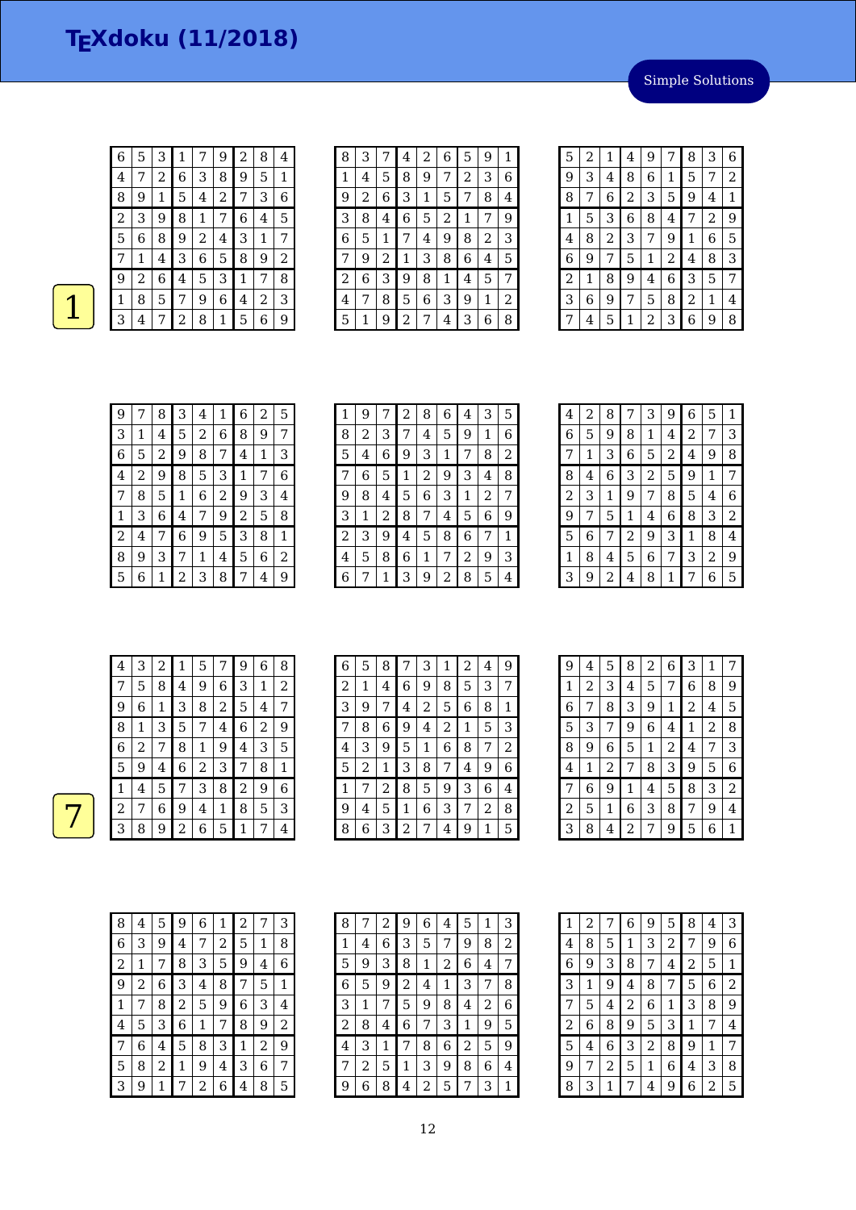| 6 | 5            | 3 | 1 | 7 | 9              | $\overline{\mathbf{c}}$ | 8 | $\overline{4}$ |
|---|--------------|---|---|---|----------------|-------------------------|---|----------------|
| 4 | 7            | 2 | 6 | 3 | 8              | 9                       | 5 | 1              |
| 8 | 9            | 1 | 5 | 4 | $\overline{c}$ | 7                       | 3 | 6              |
| 2 | 3            | 9 | 8 | 1 | 7              | 6                       | 4 | 5              |
| 5 | 6            | 8 | 9 | 2 | 4              | 3                       | 1 | 7              |
| 7 | $\mathbf{1}$ | 4 | 3 | 6 | 5              | 8                       | 9 | 2              |
| 9 | 2            | 6 | 4 | 5 | 3              | 1                       | 7 | 8              |
| 1 | 8            | 5 | 7 | 9 | 6              | 4                       | 2 | 3              |
| 3 | 4            |   | 2 | 8 | 1              | 5                       | 6 | 9              |

| 8 | 3 |   | 4 | 2 | 6 | 5              | 9 | 1 |
|---|---|---|---|---|---|----------------|---|---|
| 1 | 4 | 5 | 8 | 9 | 7 | $\overline{c}$ | 3 | 6 |
| 9 | 2 | 6 | 3 | 1 | 5 | 7              | 8 | 4 |
| 3 | 8 | 4 | 6 | 5 | 2 | 1              | 7 | 9 |
| 6 | 5 | 1 | 7 | 4 | 9 | 8              | 2 | 3 |
| 7 | 9 | 2 | 1 | 3 | 8 | 6              | 4 | 5 |
| 2 | 6 | 3 | 9 | 8 | 1 | 4              | 5 | 7 |
| 4 | 7 | 8 | 5 | 6 | 3 | 9              | 1 | 2 |
| 5 | 1 | 9 | 2 | 7 | 4 | 3              | 6 | 8 |

| 5              | 2 | 1              | 4              | 9 | 7              | 8              | 3              | 6 |
|----------------|---|----------------|----------------|---|----------------|----------------|----------------|---|
| 9              | 3 | 4              | 8              | 6 | 1              | 5              | 7              | 2 |
| 8              | 7 | 6              | $\overline{c}$ | 3 | 5              | 9              | 4              | 1 |
| 1              | 5 | 3              | 6              | 8 | 4              | 7              | $\overline{c}$ | 9 |
| 4              | 8 | $\overline{c}$ | 3              | 7 | 9              | $\mathbf{1}$   | 6              | 5 |
| 6              | 9 | 7              | 5              | 1 | $\overline{c}$ | 4              | 8              | 3 |
| $\overline{c}$ | 1 | 8              | 9              | 4 | 6              | 3              | 5              | 7 |
| 3              | 6 | 9              | 7              | 5 | 8              | $\overline{c}$ | 1              | 4 |
| 7              | 4 | 5              | 1              | 2 | 3              | 6              | 9              | 8 |

| 9 | 7 | 8 | 3 | 4 | 1 | 6 | 2 | 5              |
|---|---|---|---|---|---|---|---|----------------|
| 3 | 1 | 4 | 5 | 2 | 6 | 8 | 9 | 7              |
| 6 | 5 | 2 | 9 | 8 | 7 | 4 | 1 | 3              |
| 4 | 2 | 9 | 8 | 5 | 3 | 1 | 7 | 6              |
| 7 | 8 | 5 | 1 | 6 | 2 | 9 | 3 | 4              |
| 1 | 3 | 6 | 4 | 7 | 9 | 2 | 5 | 8              |
| 2 | 4 | 7 | 6 | 9 | 5 | 3 | 8 | 1              |
| 8 | 9 | 3 | 7 | 1 | 4 | 5 | 6 | $\overline{2}$ |
| 5 | 6 | 1 | 2 | 3 | 8 | 7 | 4 | 9              |

| 1 | 9 | 7 | 2 | 8              | 6 | 4 | 3 | 5 |
|---|---|---|---|----------------|---|---|---|---|
| 8 | 2 | З | 7 | 4              | 5 | 9 | 1 | 6 |
| 5 | 4 | 6 | 9 | 3              | 1 | 7 | 8 | 2 |
|   | 6 | 5 | 1 | $\overline{c}$ | 9 | 3 | 4 | 8 |
| 9 | 8 | 4 | 5 | 6              | 3 | 1 | 2 | 7 |
| 3 | 1 | 2 | 8 | 7              | 4 | 5 | 6 | 9 |
| 2 | З | 9 | 4 | 5              | 8 | 6 | 7 | 1 |
| 4 | 5 | 8 | 6 | 1              | 7 | 2 | 9 | 3 |
| 6 |   | 1 | 3 | 9              | 2 | 8 | 5 | 4 |

| 8<br>3<br>$\overline{c}$<br>9<br>6<br>5<br>7<br>4<br>6<br>5<br>8<br>9<br>1<br>2<br>7<br>4<br>7<br>3<br>1<br>6<br>5<br>2<br>9<br>4<br>3<br>$\overline{c}$<br>8<br>6<br>9<br>5<br>1<br>4 |   |   |   |   |   |   |   |   |                |
|----------------------------------------------------------------------------------------------------------------------------------------------------------------------------------------|---|---|---|---|---|---|---|---|----------------|
|                                                                                                                                                                                        |   |   |   |   |   |   |   |   | 1              |
|                                                                                                                                                                                        |   |   |   |   |   |   |   |   | 3              |
|                                                                                                                                                                                        |   |   |   |   |   |   |   |   | 8              |
|                                                                                                                                                                                        |   |   |   |   |   |   |   |   | 7              |
|                                                                                                                                                                                        | 2 | 3 | 1 | 9 | 7 | 8 | 5 | 4 | 6              |
| 9<br>3<br>8<br>7<br>1<br>5<br>6<br>4                                                                                                                                                   |   |   |   |   |   |   |   |   | $\overline{2}$ |
| 5<br>3<br>8<br>9<br>$\overline{2}$<br>6<br>7<br>1                                                                                                                                      |   |   |   |   |   |   |   |   | 4              |
| 2<br>3<br>5<br>6<br>1<br>8<br>7<br>4                                                                                                                                                   |   |   |   |   |   |   |   |   | 9              |
| 3<br>2<br>9<br>8<br>6<br>1<br>7<br>4                                                                                                                                                   |   |   |   |   |   |   |   |   | 5              |

| 4 | 3 | 2 | 1 | 5              |   | 9 | 6                       | 8 |
|---|---|---|---|----------------|---|---|-------------------------|---|
|   | 5 | 8 | 4 | 9              | 6 | 3 | 1                       | 2 |
| 9 | 6 | 1 | 3 | 8              | 2 | 5 | 4                       | 7 |
| 8 | 1 | 3 | 5 | 7              | 4 | 6 | $\overline{\mathbf{c}}$ | 9 |
| 6 | 2 | 7 | 8 | 1              | 9 | 4 | 3                       | 5 |
| 5 | 9 | 4 | 6 | $\overline{2}$ | 3 | 7 | 8                       | 1 |
| 1 | 4 | 5 | 7 | 3              | 8 | 2 | 9                       | 6 |
| 2 | 7 | 6 | 9 | 4              | 1 | 8 | 5                       | 3 |
| З | 8 | 9 | 2 | 6              | 5 | 1 | 7                       | 4 |

| 6 | 5 | 8 | 7              | 3 | 1 | 2 | 4 | 9 |
|---|---|---|----------------|---|---|---|---|---|
| 2 | 1 | 4 | 6              | 9 | 8 | 5 | 3 | 7 |
| З | 9 | 7 | 4              | 2 | 5 | 6 | 8 | 1 |
| 7 | 8 | 6 | 9              | 4 | 2 | 1 | 5 | 3 |
| 4 | 3 | 9 | 5              | 1 | 6 | 8 | 7 | 2 |
| 5 | 2 | 1 | 3              | 8 | 7 | 4 | 9 | 6 |
| 1 | 7 | 2 | 8              | 5 | 9 | 3 | 6 | 4 |
| 9 | 4 | 5 | 1              | 6 | З | 7 | 2 | 8 |
| 8 | 6 | 3 | $\overline{2}$ | 7 | 4 | 9 |   | 5 |

| 9              | 4 | 5 | 8 | 2 | 6              | 3 | 1              | 7 |
|----------------|---|---|---|---|----------------|---|----------------|---|
| 1              | 2 | 3 | 4 | 5 | 7              | 6 | 8              | 9 |
| 6              | 7 | 8 | 3 | 9 | $\mathbf 1$    | 2 | 4              | 5 |
| 5              | 3 | 7 | 9 | 6 | 4              | 1 | $\overline{2}$ | 8 |
| 8              | 9 | 6 | 5 | 1 | $\overline{2}$ | 4 | 7              | 3 |
| 4              | 1 | 2 | 7 | 8 | 3              | 9 | 5              | 6 |
| 7              | 6 | 9 | 1 | 4 | 5              | 8 | 3              | 2 |
| $\overline{c}$ | 5 | 1 | 6 | 3 | 8              | 7 | 9              | 4 |
| 3              | 8 | 4 | 2 | 7 | 9              | 5 | 6              | 1 |

| 8 | 4 | 5 | 9 | 6              | 1 | 2 | 7 | З              |
|---|---|---|---|----------------|---|---|---|----------------|
| 6 | 3 | 9 | 4 | 7              | 2 | 5 | 1 | 8              |
| 2 | 1 | 7 | 8 | 3              | 5 | 9 | 4 | 6              |
| 9 | 2 | 6 | З | 4              | 8 | 7 | 5 | 1              |
| 1 | 7 | 8 | 2 | 5              | 9 | 6 | 3 | 4              |
| 4 | 5 | 3 | 6 | 1              | 7 | 8 | 9 | $\overline{c}$ |
| 7 | 6 | 4 | 5 | 8              | З | 1 | 2 | 9              |
| 5 | 8 | 2 | 1 | 9              | 4 | 3 | 6 | 7              |
| 3 | 9 | 1 | 7 | $\overline{c}$ | 6 | 4 | 8 | 5              |

| 8 | 7 | 2 | 9 | 6 | 4 | 5              | 1 | З |
|---|---|---|---|---|---|----------------|---|---|
| 1 | 4 | 6 | З | 5 | 7 | 9              | 8 | 2 |
| 5 | 9 | З | 8 | 1 | 2 | 6              | 4 | 7 |
| 6 | 5 | 9 | 2 | 4 | 1 | З              | 7 | 8 |
| 3 | 1 | 7 | 5 | 9 | 8 | 4              | 2 | 6 |
| 2 | 8 | 4 | 6 | 7 | З | 1              | 9 | 5 |
| 4 | 3 | 1 | 7 | 8 | 6 | $\overline{c}$ | 5 | 9 |
| 7 | 2 | 5 | 1 | З | 9 | 8              | 6 | 4 |
| 9 | 6 | 8 | 4 | 2 | 5 |                | 3 | 1 |

| 1 | $\overline{c}$ | 7 | 6 | 9              | 5 | 8 | 4 | 3 |
|---|----------------|---|---|----------------|---|---|---|---|
| 4 | 8              | 5 | 1 | 3              | 2 | 7 | 9 | 6 |
| 6 | 9              | 3 | 8 | 7              | 4 | 2 | 5 | 1 |
| 3 | 1              | 9 | 4 | 8              | 7 | 5 | 6 | 2 |
| 7 | 5              | 4 | 2 | 6              | 1 | 3 | 8 | 9 |
| 2 | 6              | 8 | 9 | 5              | 3 | 1 | 7 | 4 |
| 5 | 4              | 6 | 3 | $\overline{c}$ | 8 | 9 | 1 | 7 |
| 9 | 7              | 2 | 5 | 1              | 6 | 4 | 3 | 8 |
| 8 | З              | 1 | 7 | 4              | 9 | 6 | 2 | 5 |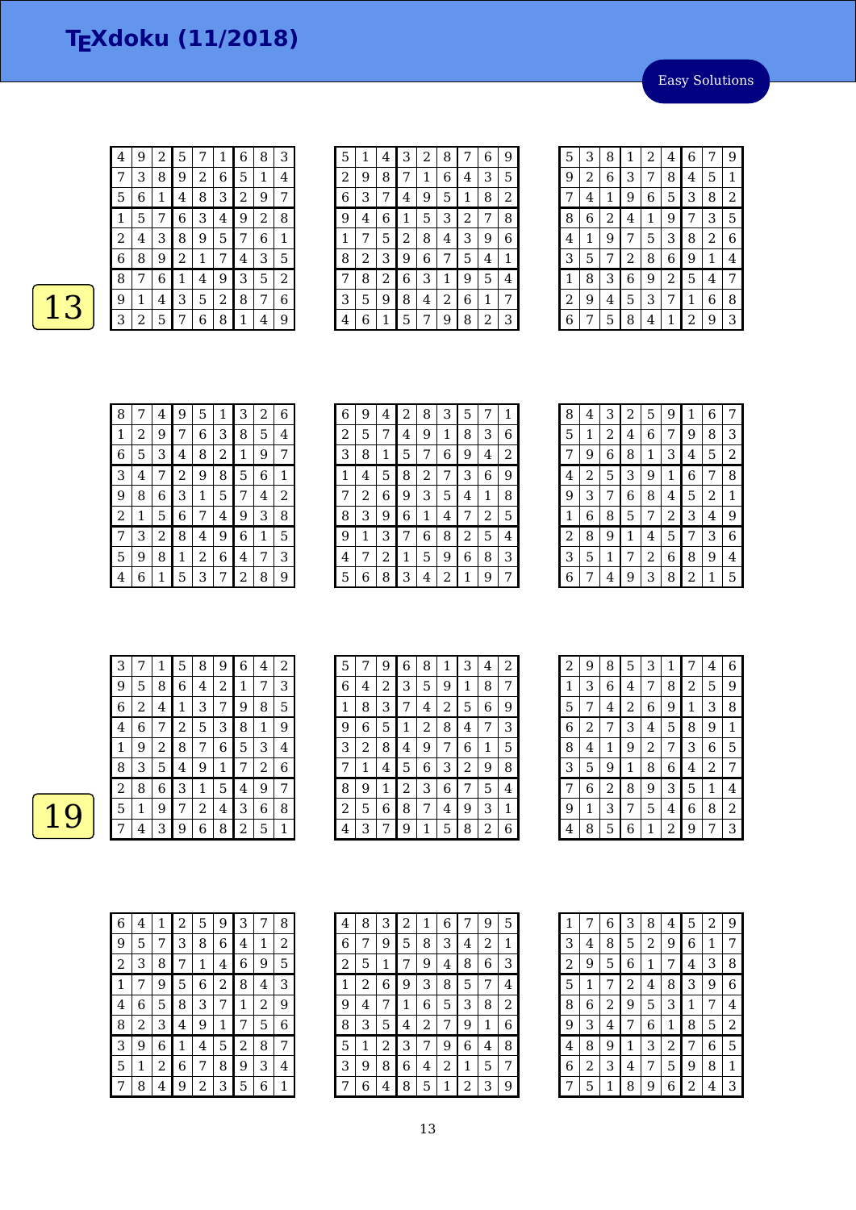Easy Solutions

| 4 | 9 | $\overline{2}$ | 5     | 7              | 1 | 6 | 8 | З |
|---|---|----------------|-------|----------------|---|---|---|---|
|   | 3 | 8              | 9     | $\overline{a}$ | 6 | 5 | 1 | 4 |
| 5 | 6 | 1              | 4     | 8              | 3 | 2 | 9 | 7 |
| 1 | 5 | 7              | 6     | 3              | 4 | 9 | 2 | 8 |
| 2 | 4 | 3              | 8     | 9              | 5 | 7 | 6 | 1 |
| 6 | 8 | 9              | 2     | 1              | 7 | 4 | 3 | 5 |
| 8 | 7 | 6              | $1\,$ | 4              | 9 | 3 | 5 | 2 |
| 9 | 1 | 4              | 3     | 5              | 2 | 8 | 7 | 6 |
| З | 2 | 5              | 7     | 6              | 8 | 1 | 4 | 9 |

| 5 | 1 | 4 | З | 2 | 8 | 7 | 6 | 9 |
|---|---|---|---|---|---|---|---|---|
| 2 | 9 | 8 | 7 | 1 | 6 | 4 | 3 | 5 |
| 6 | 3 |   | 4 | 9 | 5 | 1 | 8 | 2 |
| 9 | 4 | 6 | 1 | 5 | 3 | 2 | 7 | 8 |
| 1 | 7 | 5 | 2 | 8 | 4 | 3 | 9 | 6 |
| 8 | 2 | 3 | 9 | 6 | 7 | 5 | 4 | 1 |
| 7 | 8 | 2 | 6 | 3 | 1 | 9 | 5 | 4 |
| 3 | 5 | 9 | 8 | 4 | 2 | 6 | 1 | 7 |
| 4 | 6 | 1 | 5 | 7 | 9 | 8 | 2 | З |

| 5 | 3 | 8 | 1 | $\overline{c}$ | 4              | 6 | 7 | 9 |
|---|---|---|---|----------------|----------------|---|---|---|
| 9 | 2 | 6 | 3 | 7              | 8              | 4 | 5 | 1 |
| 7 | 4 | 1 | 9 | 6              | 5              | 3 | 8 | 2 |
| 8 | 6 | 2 | 4 | $\mathbf 1$    | 9              | 7 | 3 | 5 |
| 4 | 1 | 9 | 7 | 5              | 3              | 8 | 2 | 6 |
| 3 | 5 | 7 | 2 | 8              | 6              | 9 | 1 | 4 |
| 1 | 8 | З | 6 | 9              | $\overline{c}$ | 5 | 4 | 7 |
| 2 | 9 | 4 | 5 | 3              | 7              | 1 | 6 | 8 |
| 6 | 7 | 5 | 8 | 4              | 1              | 2 | 9 | 3 |

| 8              | 7 | 4 | 9 | 5 | 1              | 3 | 2 | 6 |
|----------------|---|---|---|---|----------------|---|---|---|
| 1              | 2 | 9 | 7 | 6 | 3              | 8 | 5 | 4 |
| 6              | 5 | 3 | 4 | 8 | $\overline{c}$ | 1 | 9 | 7 |
| 3              | 4 | 7 | 2 | 9 | 8              | 5 | 6 | 1 |
| 9              | 8 | 6 | 3 | 1 | 5              | 7 | 4 | 2 |
| $\overline{2}$ | 1 | 5 | 6 | 7 | 4              | 9 | 3 | 8 |
| 7              | 3 | 2 | 8 | 4 | 9              | 6 | 1 | 5 |
| 5              | 9 | 8 | 1 | 2 | 6              | 4 | 7 | 3 |
| 4              | 6 | 1 | 5 | 3 | 7              | 2 | 8 | 9 |

| 6 | 9 | 4 | 2 | 8 | 3 | 5 |   | 1 |
|---|---|---|---|---|---|---|---|---|
| 2 | 5 | 7 | 4 | 9 | 1 | 8 | 3 | 6 |
| 3 | 8 | 1 | 5 | 7 | 6 | 9 | 4 | 2 |
| 1 | 4 | 5 | 8 | 2 | 7 | 3 | 6 | 9 |
| 7 | 2 | 6 | 9 | 3 | 5 | 4 | 1 | 8 |
| 8 | 3 | 9 | 6 | 1 | 4 | 7 | 2 | 5 |
| 9 | 1 | З | 7 | 6 | 8 | 2 | 5 | 4 |
| 4 | 7 | 2 | 1 | 5 | 9 | 6 | 8 | З |
| 5 | 6 | 8 | 3 | 4 | 2 | 1 | 9 | 7 |

| 8            | 4              | 3 | $\overline{\mathbf{c}}$ | 5 | 9              | 1 | 6 | 7            |
|--------------|----------------|---|-------------------------|---|----------------|---|---|--------------|
| 5            | 1              | 2 | 4                       | 6 | 7              | 9 | 8 | 3            |
| 7            | 9              | 6 | 8                       | 1 | 3              | 4 | 5 | 2            |
| 4            | $\overline{c}$ | 5 | 3                       | 9 | 1              | 6 | 7 | 8            |
| 9            | 3              | 7 | 6                       | 8 | 4              | 5 | 2 | $\mathbf{1}$ |
| $\mathbf{1}$ | 6              | 8 | 5                       | 7 | $\overline{c}$ | 3 | 4 | 9            |
| 2            | 8              | 9 | 1                       | 4 | 5              | 7 | 3 | 6            |
| 3            | 5              | 1 | 7                       | 2 | 6              | 8 | 9 | 4            |
| 6            | 7              | 4 | 9                       | 3 | 8              | 2 | 1 | 5            |

| З |   |   | 5 | 8 | 9 | 6 | 4              | 2 |
|---|---|---|---|---|---|---|----------------|---|
| 9 | 5 | 8 | 6 | 4 | 2 | 1 | 7              | 3 |
| 6 | 2 | 4 | 1 | З | 7 | 9 | 8              | 5 |
| 4 | 6 | 7 | 2 | 5 | 3 | 8 | 1              | 9 |
| 1 | 9 | 2 | 8 | 7 | 6 | 5 | 3              | 4 |
| 8 | З | 5 | 4 | 9 | 1 | 7 | $\overline{2}$ | 6 |
| 2 | 8 | 6 | 3 | 1 | 5 | 4 | 9              | 7 |
| 5 | 1 | 9 | 7 | 2 | 4 | 3 | 6              | 8 |
|   | 4 | 3 | 9 | 6 | 8 | 2 | 5              | 1 |

| 5 | 7 | 9 | 6              | 8 | 1              | 3 | 4 | 2 |
|---|---|---|----------------|---|----------------|---|---|---|
| 6 | 4 | 2 | 3              | 5 | 9              | 1 | 8 | 7 |
| 1 | 8 | 3 | 7              | 4 | $\overline{c}$ | 5 | 6 | 9 |
| 9 | 6 | 5 | 1              | 2 | 8              | 4 | 7 | 3 |
| 3 | 2 | 8 | 4              | 9 | 7              | 6 | 1 | 5 |
|   | 1 | 4 | 5              | 6 | 3              | 2 | 9 | 8 |
| 8 | 9 | 1 | $\overline{c}$ | 3 | 6              | 7 | 5 | 4 |
| 2 | 5 | 6 | 8              | 7 | 4              | 9 | 3 | 1 |
| 4 | 3 |   | 9              | 1 | 5              | 8 | 2 | 6 |

| 2 | 9 | 8 | 5              | 3              | 1 | 7 | 4 | 6 |
|---|---|---|----------------|----------------|---|---|---|---|
| 1 | 3 | 6 | 4              | 7              | 8 | 2 | 5 | 9 |
| 5 | 7 | 4 | $\overline{c}$ | 6              | 9 | 1 | 3 | 8 |
| 6 | 2 | 7 | 3              | 4              | 5 | 8 | 9 | 1 |
| 8 | 4 | 1 | 9              | $\overline{2}$ | 7 | 3 | 6 | 5 |
| 3 | 5 | 9 | 1              | 8              | 6 | 4 | 2 | 7 |
| 7 | 6 | 2 | 8              | 9              | 3 | 5 | 1 | 4 |
| 9 | 1 | З | 7              | 5              | 4 | 6 | 8 | 2 |
| 4 | 8 | 5 | 6              | 1              | 2 | 9 | 7 | 3 |

| 6 | 4 | 1 | 2                       | 5              | 9 | З | 7 | 8 |
|---|---|---|-------------------------|----------------|---|---|---|---|
| 9 | 5 | 7 | З                       | 8              | 6 | 4 | 1 | 2 |
| 2 | 3 | 8 | 7                       | 1              | 4 | 6 | 9 | 5 |
| 1 | 7 | 9 | 5                       | 6              | 2 | 8 | 4 | З |
| 4 | 6 | 5 | 8                       | З              | 7 | 1 | 2 | 9 |
| 8 | 2 | З | $\overline{\mathbf{4}}$ | 9              | 1 | 7 | 5 | 6 |
| 3 | 9 | 6 | 1                       | $\bf 4$        | 5 | 2 | 8 | 7 |
| 5 | 1 | 2 | 6                       | 7              | 8 | 9 | З | 4 |
|   | 8 | 4 | 9                       | $\overline{c}$ | 3 | 5 | 6 | 1 |

| 4              | 8 | 3 | 2 | 1 | 6              |                | 9 | 5 |
|----------------|---|---|---|---|----------------|----------------|---|---|
| 6              | 7 | 9 | 5 | 8 | 3              | 4              | 2 | 1 |
| $\overline{c}$ | 5 | 1 | 7 | 9 | 4              | 8              | 6 | З |
| 1              | 2 | 6 | 9 | 3 | 8              | 5              | 7 | 4 |
| 9              | 4 | 7 | 1 | 6 | 5              | 3              | 8 | 2 |
| 8              | 3 | 5 | 4 | 2 | 7              | 9              | 1 | 6 |
| 5              | 1 | 2 | 3 | 7 | 9              | 6              | 4 | 8 |
| 3              | 9 | 8 | 6 | 4 | $\overline{c}$ | 1              | 5 | 7 |
|                | 6 | 4 | 8 | 5 | 1              | $\overline{c}$ | З | 9 |

| 1              | 7 | 6 | 3              | 8            | 4 | 5 | $\overline{c}$ | 9 |
|----------------|---|---|----------------|--------------|---|---|----------------|---|
| 3              | 4 | 8 | 5              | 2            | 9 | 6 | 1              | 7 |
| $\overline{c}$ | 9 | 5 | 6              | $\mathbf{1}$ | 7 | 4 | 3              | 8 |
| 5              | 1 | 7 | $\overline{a}$ | 4            | 8 | 3 | 9              | 6 |
| 8              | 6 | 2 | 9              | 5            | 3 | 1 | 7              | 4 |
| 9              | 3 | 4 | 7              | 6            | 1 | 8 | 5              | 2 |
| 4              | 8 | 9 | 1              | 3            | 2 | 7 | 6              | 5 |
| 6              | 2 | 3 | 4              | 7            | 5 | 9 | 8              | 1 |
| 7              | 5 | 1 | 8              | 9            | 6 | 2 | 4              | 3 |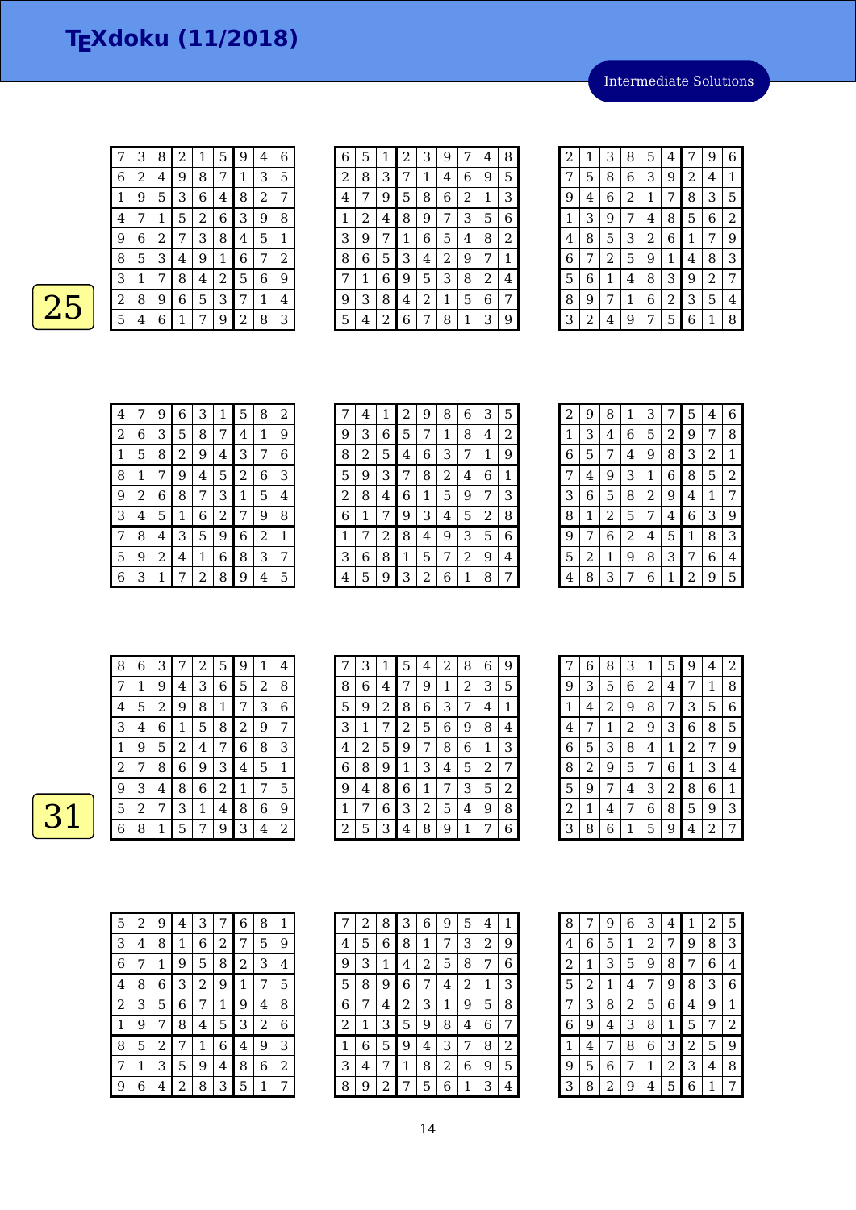Intermediate Solutions

|                | З | 8 | 2 | 1 | 5 | 9 | 4 | 6 |
|----------------|---|---|---|---|---|---|---|---|
| 6              | 2 | 4 | 9 | 8 | 7 | 1 | 3 | 5 |
| 1              | 9 | 5 | 3 | 6 | 4 | 8 | 2 | 7 |
| $\overline{4}$ | 7 | 1 | 5 | 2 | 6 | 3 | 9 | 8 |
| 9              | 6 | 2 | 7 | 3 | 8 | 4 | 5 | 1 |
| 8              | 5 | 3 | 4 | 9 | 1 | 6 | 7 | 2 |
| 3              | 1 | 7 | 8 | 4 | 2 | 5 | 6 | 9 |
| 2              | 8 | 9 | 6 | 5 | 3 | 7 | 1 | 4 |
| 5              | 4 | 6 | 1 | 7 | 9 | 2 | 8 | 3 |

| 6              | 5 | 1 | 2 | 3 | 9 | 7            | 4 | 8 |
|----------------|---|---|---|---|---|--------------|---|---|
| $\overline{2}$ | 8 | 3 | 7 | 1 | 4 | 6            | 9 | 5 |
| 4              | 7 | 9 | 5 | 8 | 6 | 2            | 1 | 3 |
| 1              | 2 | 4 | 8 | 9 | 7 | 3            | 5 | 6 |
| 3              | 9 | 7 | 1 | 6 | 5 | 4            | 8 | 2 |
| 8              | 6 | 5 | 3 | 4 | 2 | 9            | 7 | 1 |
| 7              | 1 | 6 | 9 | 5 | 3 | 8            | 2 | 4 |
| 9              | 3 | 8 | 4 | 2 | 1 | 5            | 6 | 7 |
| 5              | 4 | 2 | 6 | 7 | 8 | $\mathbf{1}$ | 3 | 9 |

| 2 | 1 | 3              | 8              | 5              | 4 | 7 | 9              | 6 |
|---|---|----------------|----------------|----------------|---|---|----------------|---|
| 7 | 5 | 8              | 6              | 3              | 9 | 2 | 4              | 1 |
| 9 | 4 | 6              | $\overline{c}$ | 1              | 7 | 8 | 3              | 5 |
| 1 | 3 | 9              | 7              | 4              | 8 | 5 | 6              | 2 |
| 4 | 8 | 5              | 3              | $\overline{c}$ | 6 | 1 | 7              | 9 |
| 6 | 7 | $\overline{c}$ | 5              | 9              | 1 | 4 | 8              | З |
| 5 | 6 | 1              | 4              | 8              | З | 9 | $\overline{c}$ | 7 |
| 8 | 9 | 7              | 1              | 6              | 2 | 3 | 5              | 4 |
| 3 | 2 | 4              | 9              | 7              | 5 | 6 | 1              | 8 |

| 4 |   | 9 | 6 | 3 | 1 | 5 | 8 | 2 |
|---|---|---|---|---|---|---|---|---|
| 2 | 6 | З | 5 | 8 | 7 | 4 | 1 | 9 |
| 1 | 5 | 8 | 2 | 9 | 4 | 3 | 7 | 6 |
| 8 | 1 |   | 9 | 4 | 5 | 2 | 6 | 3 |
| 9 | 2 | 6 | 8 | 7 | 3 | 1 | 5 | 4 |
| З | 4 | 5 | 1 | 6 | 2 | 7 | 9 | 8 |
| 7 | 8 | 4 | 3 | 5 | 9 | 6 | 2 | 1 |
| 5 | 9 | 2 | 4 | 1 | 6 | 8 | 3 | 7 |
| 6 | З | 1 |   | 2 | 8 | 9 | 4 | 5 |

| 7 | 4 | 1 | 2 | 9 | 8 | 6 | 3 | 5 |
|---|---|---|---|---|---|---|---|---|
| 9 | 3 | 6 | 5 | 7 | 1 | 8 | 4 | 2 |
| 8 | 2 | 5 | 4 | 6 | 3 | 7 | 1 | 9 |
| 5 | 9 | З | 7 | 8 | 2 | 4 | 6 | 1 |
| 2 | 8 | 4 | 6 | 1 | 5 | 9 | 7 | 3 |
| 6 | 1 | 7 | 9 | 3 | 4 | 5 | 2 | 8 |
| 1 | 7 | 2 | 8 | 4 | 9 | 3 | 5 | 6 |
| 3 | 6 | 8 | 1 | 5 | 7 | 2 | 9 | 4 |
| 4 | 5 | 9 | 3 | 2 | 6 | 1 | 8 | 7 |

| 2 | 9 | 8 | $1\,$          | 3 | 7 | 5 | 4 | 6              |
|---|---|---|----------------|---|---|---|---|----------------|
| 1 | 3 | 4 | 6              | 5 | 2 | 9 | 7 | 8              |
| 6 | 5 | 7 | 4              | 9 | 8 | 3 | 2 | $\mathbf 1$    |
| 7 | 4 | 9 | 3              | 1 | 6 | 8 | 5 | $\overline{2}$ |
| 3 | 6 | 5 | 8              | 2 | 9 | 4 | 1 | 7              |
| 8 | 1 | 2 | 5              | 7 | 4 | 6 | З | 9              |
| 9 | 7 | 6 | $\overline{c}$ | 4 | 5 | 1 | 8 | 3              |
| 5 | 2 | 1 | 9              | 8 | 3 | 7 | 6 | 4              |
| 4 | 8 | З | 7              | 6 | 1 | 2 | 9 | 5              |

| 8 | 6 | 3 |   | 2 | 5 | 9 | 1 | 4 |
|---|---|---|---|---|---|---|---|---|
| 7 | 1 | 9 | 4 | 3 | 6 | 5 | 2 | 8 |
| 4 | 5 | 2 | 9 | 8 | 1 | 7 | 3 | 6 |
| 3 | 4 | 6 | 1 | 5 | 8 | 2 | 9 | 7 |
| 1 | 9 | 5 | 2 | 4 | 7 | 6 | 8 | 3 |
| 2 | 7 | 8 | 6 | 9 | 3 | 4 | 5 | 1 |
| 9 | 3 | 4 | 8 | 6 | 2 | 1 | 7 | 5 |
| 5 | 2 | 7 | 3 | 1 | 4 | 8 | 6 | 9 |
| 6 | 8 | 1 | 5 | 7 | 9 | 3 | 4 | 2 |

| 7 | 3 | $\mathbf{1}$ | 5              | 4 | 2 | 8 | 6 | 9 |
|---|---|--------------|----------------|---|---|---|---|---|
| 8 | 6 | 4            | 7              | 9 | 1 | 2 | 3 | 5 |
| 5 | 9 | 2            | 8              | 6 | 3 | 7 | 4 | 1 |
| 3 | 1 | 7            | $\overline{2}$ | 5 | 6 | 9 | 8 | 4 |
| 4 | 2 | 5            | 9              | 7 | 8 | 6 | 1 | 3 |
| 6 | 8 | 9            | $\mathbf 1$    | 3 | 4 | 5 | 2 | 7 |
| 9 | 4 | 8            | 6              | 1 | 7 | 3 | 5 | 2 |
| 1 | 7 | 6            | 3              | 2 | 5 | 4 | 9 | 8 |
| 2 | 5 | 3            | 4              | 8 | 9 |   |   | 6 |

|   | 6 | 8 | З | 1 | 5 | 9 | 4 | 2 |
|---|---|---|---|---|---|---|---|---|
| 9 | 3 | 5 | 6 | 2 | 4 | 7 | 1 | 8 |
| 1 | 4 | 2 | 9 | 8 | 7 | 3 | 5 | 6 |
| 4 | 7 | 1 | 2 | 9 | 3 | 6 | 8 | 5 |
| 6 | 5 | 3 | 8 | 4 | 1 | 2 | 7 | 9 |
| 8 | 2 | 9 | 5 | 7 | 6 | 1 | 3 | 4 |
| 5 | 9 | 7 | 4 | З | 2 | 8 | 6 | 1 |
| 2 | 1 | 4 | 7 | 6 | 8 | 5 | 9 | 3 |
| 3 | 8 | 6 | 1 | 5 | 9 | 4 | 2 | 7 |

| 5 | 2 | 9 | 4 | 3 | 7 | 6 | 8 | 1 |
|---|---|---|---|---|---|---|---|---|
| З | 4 | 8 | 1 | 6 | 2 | 7 | 5 | 9 |
| 6 | 7 | 1 | 9 | 5 | 8 | 2 | 3 | 4 |
| 4 | 8 | 6 | 3 | 2 | 9 | 1 | 7 | 5 |
| 2 | 3 | 5 | 6 | 7 | 1 | 9 | 4 | 8 |
|   | 9 | 7 | 8 | 4 | 5 | 3 | 2 | 6 |
| 8 | 5 | 2 | 7 | 1 | 6 | 4 | 9 | 3 |
| 7 | 1 | 3 | 5 | 9 | 4 | 8 | 6 | 2 |
| g | 6 | 4 | 2 | 8 | З | 5 | 1 | 7 |

|   | 2 | 8 | 3 | 6 | 9 | 5 | 4 | 1 |
|---|---|---|---|---|---|---|---|---|
| 4 | 5 | 6 | 8 | 1 | 7 | З | 2 | 9 |
| 9 | 3 | 1 | 4 | 2 | 5 | 8 | 7 | 6 |
| 5 | 8 | 9 | 6 | 7 | 4 | 2 | 1 | З |
| 6 | 7 | 4 | 2 | З | 1 | 9 | 5 | 8 |
| 2 | 1 | З | 5 | 9 | 8 | 4 | 6 | 7 |
| 1 | 6 | 5 | 9 | 4 | З | 7 | 8 | 2 |
| З | 4 | 7 | 1 | 8 | 2 | 6 | 9 | 5 |
| 8 | 9 | 2 |   | 5 | 6 | 1 | 3 | 4 |

| 8              | 7              | 9 | $\,$ 6 $\,$    | 3              | 4            | 1              | 2 | 5              |
|----------------|----------------|---|----------------|----------------|--------------|----------------|---|----------------|
| 4              | 6              | 5 | 1              | $\overline{c}$ | 7            | 9              | 8 | 3              |
| $\overline{c}$ | 1              | 3 | 5              | 9              | 8            | 7              | 6 | 4              |
| 5              | $\overline{c}$ | 1 | 4              | 7              | 9            | 8              | 3 | 6              |
| 7              | 3              | 8 | $\overline{c}$ | 5              | 6            | 4              | 9 | 1              |
| 6              | 9              | 4 | 3              | 8              | $\mathbf{1}$ | 5              | 7 | $\overline{c}$ |
| 1              | 4              | 7 | 8              | 6              | 3            | $\overline{2}$ | 5 | 9              |
| 9              | 5              | 6 | 7              | 1              | 2            | 3              | 4 | 8              |
| 3              | 8              | 2 | 9              | 4              | 5            | 6              | 1 | 7              |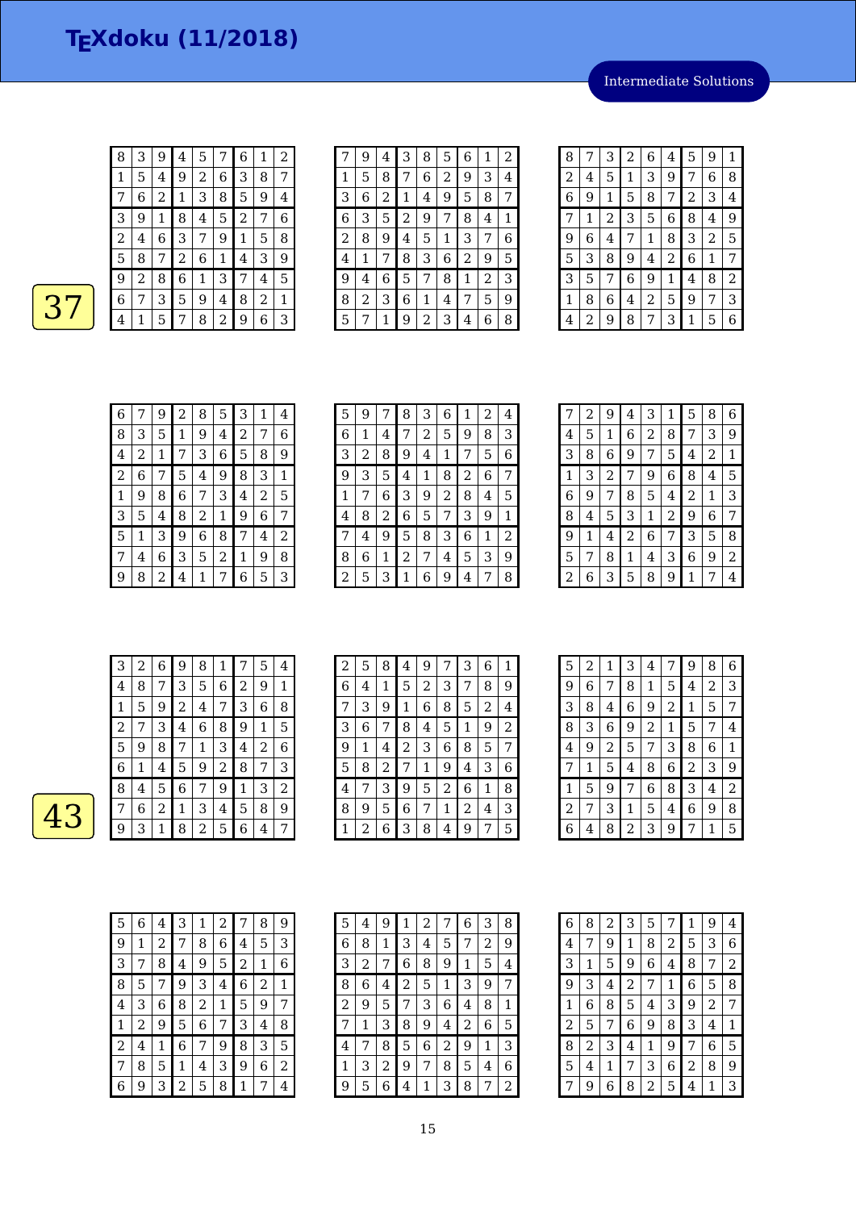Intermediate Solutions

| 8 | 3 | 9 | 4              | 5 | 7 | 6              | 1 | 2            |  |
|---|---|---|----------------|---|---|----------------|---|--------------|--|
| 1 | 5 | 4 | 9              | 2 | 6 | 3              | 8 | 7            |  |
| 7 | 6 | 2 | $\mathbf{1}$   | 3 | 8 | 5              | 9 | 4            |  |
| 3 | 9 | 1 | 8              | 4 | 5 | $\overline{c}$ | 7 | 6            |  |
| 2 | 4 | 6 | 3              | 7 | 9 | 1              | 5 | 8            |  |
| 5 | 8 | 7 | $\overline{c}$ | 6 | 1 | 4              | 3 | 9            |  |
| 9 | 2 | 8 | 6              | 1 | 3 | 7              | 4 | 5            |  |
| 6 | 7 | 3 | 5              | 9 | 4 | 8              | 2 | $\mathbf{1}$ |  |
| 4 | 1 | 5 | 7              | 8 | 2 | 9              | 6 | 3            |  |

|   | 9 | 4 | 3            | 8 | 5 | 6 | 1 | 2 |
|---|---|---|--------------|---|---|---|---|---|
| 1 | 5 | 8 |              | 6 | 2 | 9 | 3 | 4 |
| 3 | 6 | 2 | $\mathbf{1}$ | 4 | 9 | 5 | 8 | 7 |
| 6 | 3 | 5 | 2            | 9 | 7 | 8 | 4 | 1 |
| 2 | 8 | 9 | 4            | 5 | 1 | 3 | 7 | 6 |
| 4 | 1 | 7 | 8            | 3 | 6 | 2 | 9 | 5 |
| 9 | 4 | 6 | 5            | 7 | 8 | 1 | 2 | 3 |
| 8 | 2 | З | 6            | 1 | 4 | 7 | 5 | 9 |
| 5 | 7 | 1 | 9            | 2 | 3 | 4 | 6 | 8 |

| 8 | 7 | 3 | 2 | 6              | 4 | 5 | 9 | 1 |
|---|---|---|---|----------------|---|---|---|---|
| 2 | 4 | 5 | 1 | З              | 9 | 7 | 6 | 8 |
| 6 | 9 | 1 | 5 | 8              | 7 | 2 | 3 | 4 |
| 7 | 1 | 2 | 3 | 5              | 6 | 8 | 4 | 9 |
| 9 | 6 | 4 | 7 | 1              | 8 | 3 | 2 | 5 |
| 5 | 3 | 8 | 9 | 4              | 2 | 6 | 1 | 7 |
| 3 | 5 | 7 | 6 | 9              | 1 | 4 | 8 | 2 |
| 1 | 8 | 6 | 4 | $\overline{c}$ | 5 | 9 | 7 | 3 |
| 4 | 2 | 9 | 8 | 7              | 3 | 1 | 5 | 6 |

| 6 |   | 9 | 2           | 8 | 5 | 3 | 1                | 4 |
|---|---|---|-------------|---|---|---|------------------|---|
| 8 | 3 | 5 | $\mathbf 1$ | 9 | 4 | 2 | 7                | 6 |
| 4 | 2 | 1 | 7           | 3 | 6 | 5 | 8                | 9 |
| 2 | 6 | 7 | 5           | 4 | 9 | 8 | 3                | 1 |
| 1 | 9 | 8 | 6           | 7 | 3 | 4 | 2                | 5 |
| 3 | 5 | 4 | 8           | 2 | 1 | 9 | $\boldsymbol{6}$ | 7 |
| 5 | 1 | 3 | 9           | 6 | 8 | 7 | 4                | 2 |
|   | 4 | 6 | 3           | 5 | 2 | 1 | 9                | 8 |
| 9 | 8 | 2 | 4           | 1 | 7 | 6 | 5                | З |

| 5 | 9 |   | 8 | 3 | 6 | 1 | 2 | 4 |
|---|---|---|---|---|---|---|---|---|
| 6 | 1 | 4 | 7 | 2 | 5 | 9 | 8 | З |
| 3 | 2 | 8 | 9 | 4 | 1 | 7 | 5 | 6 |
| 9 | З | 5 | 4 | 1 | 8 | 2 | 6 | 7 |
| 1 | 7 | 6 | З | 9 | 2 | 8 | 4 | 5 |
| 4 | 8 | 2 | 6 | 5 | 7 | 3 | 9 | 1 |
| 7 | 4 | 9 | 5 | 8 | З | 6 | 1 | 2 |
| 8 | 6 | 1 | 2 | 7 | 4 | 5 | З | 9 |
| 2 | 5 | 3 | 1 | 6 | 9 | 4 | 7 | 8 |

|   | 2 | 9 | 4              | 3 | 1 | 5              | 8 | 6              |
|---|---|---|----------------|---|---|----------------|---|----------------|
| 4 | 5 | 1 | 6              | 2 | 8 | 7              | 3 | 9              |
| 3 | 8 | 6 | 9              | 7 | 5 | 4              | 2 | $\mathbf 1$    |
| 1 | 3 | 2 | 7              | 9 | 6 | 8              | 4 | 5              |
| 6 | 9 | 7 | 8              | 5 | 4 | $\overline{c}$ | 1 | 3              |
| 8 | 4 | 5 | 3              | 1 | 2 | 9              | 6 | 7              |
| 9 | 1 | 4 | $\overline{2}$ | 6 | 7 | 3              | 5 | 8              |
| 5 | 7 | 8 | 1              | 4 | 3 | 6              | 9 | $\overline{2}$ |
| 2 | 6 | 3 | 5              | 8 | 9 | 1              | 7 | 4              |

|  | З | 2            | 6              | 9              | 8 | 1              |   | 5 | 4                |
|--|---|--------------|----------------|----------------|---|----------------|---|---|------------------|
|  | 4 | 8            | 7              | 3              | 5 | 6              | 2 | 9 | 1                |
|  | 1 | 5            | 9              | $\overline{2}$ | 4 | 7              | З | 6 | 8                |
|  | 2 | 7            | 3              | 4              | 6 | 8              | 9 | 1 | 5                |
|  | 5 | 9            | 8              | 7              | 1 | 3              | 4 | 2 | 6                |
|  | 6 | $\mathbf{1}$ | $\overline{4}$ | 5              | 9 | $\overline{c}$ | 8 | 7 | 3                |
|  | 8 | 4            | 5              | 6              | 7 | 9              | 1 | 3 | $\boldsymbol{2}$ |
|  | 7 | 6            | 2              | $1\,$          | 3 | 4              | 5 | 8 | 9                |
|  | 9 | З            | 1              | 8              | 2 | 5              | 6 | 4 |                  |

| 2 | 5 | 8 | 4 | 9 | 7 | 3 | 6 | 1 |
|---|---|---|---|---|---|---|---|---|
| 6 | 4 | 1 | 5 | 2 | 3 | 7 | 8 | 9 |
| 7 | 3 | 9 | 1 | 6 | 8 | 5 | 2 | 4 |
| 3 | 6 | 7 | 8 | 4 | 5 | 1 | 9 | 2 |
| 9 | 1 | 4 | 2 | 3 | 6 | 8 | 5 | 7 |
| 5 | 8 | 2 | 7 | 1 | 9 | 4 | 3 | 6 |
| 4 | 7 | 3 | 9 | 5 | 2 | 6 | 1 | 8 |
| 8 | 9 | 5 | 6 | 7 | 1 | 2 | 4 | 3 |
| 1 | 2 | 6 | З | 8 | 4 | 9 | 7 | 5 |

| 5 | 2 | 1 | З              | 4              | 7              | 9              | 8              | 6              |
|---|---|---|----------------|----------------|----------------|----------------|----------------|----------------|
| 9 | 6 | 7 | 8              | 1              | 5              | 4              | $\overline{2}$ | 3              |
| 3 | 8 | 4 | 6              | 9              | $\overline{2}$ | 1              | 5              | 7              |
| 8 | 3 | 6 | 9              | $\overline{2}$ | 1              | 5              | 7              | 4              |
| 4 | 9 | 2 | 5              | 7              | 3              | 8              | 6              | 1              |
| 7 | 1 | 5 | 4              | 8              | 6              | $\overline{2}$ | 3              | 9              |
| 1 | 5 | 9 | 7              | 6              | 8              | 3              | 4              | $\overline{2}$ |
| 2 | 7 | 3 | 1              | 5              | 4              | 6              | 9              | 8              |
| 6 | 4 | 8 | $\overline{c}$ | 3              | 9              | 7              | 1              | 5              |

| 5 | 6 | 4 | 3 | 1 | 2 | 7 | 8 | 9 |
|---|---|---|---|---|---|---|---|---|
| 9 | 1 | 2 | 7 | 8 | 6 | 4 | 5 | З |
| 3 | 7 | 8 | 4 | 9 | 5 | 2 | 1 | 6 |
| 8 | 5 | 7 | 9 | 3 | 4 | 6 | 2 | 1 |
| 4 | 3 | 6 | 8 | 2 | 1 | 5 | 9 | 7 |
| 1 | 2 | 9 | 5 | 6 | 7 | 3 | 4 | 8 |
| 2 | 4 | 1 | 6 | 7 | 9 | 8 | 3 | 5 |
| 7 | 8 | 5 | 1 | 4 | 3 | 9 | 6 | 2 |
| 6 | 9 | 3 | 2 | 5 | 8 | 1 | 7 | 4 |

| 5 | 4              | 9 | 1              | $\overline{c}$ | 7              | 6 | 3 | 8 |
|---|----------------|---|----------------|----------------|----------------|---|---|---|
| 6 | 8              | 1 | 3              | 4              | 5              | 7 | 2 | 9 |
| 3 | $\overline{2}$ | 7 | 6              | 8              | 9              | 1 | 5 | 4 |
| 8 | 6              | 4 | $\overline{c}$ | 5              | 1              | 3 | 9 | 7 |
| 2 | 9              | 5 | 7              | 3              | 6              | 4 | 8 | 1 |
| 7 | 1              | 3 | 8              | 9              | 4              | 2 | 6 | 5 |
| 4 | 7              | 8 | 5              | 6              | $\overline{c}$ | 9 | 1 | 3 |
| 1 | 3              | 2 | 9              | 7              | 8              | 5 | 4 | 6 |
| 9 | 5              | 6 | 4              | 1              | З              | 8 | 7 | 2 |

| 6              | 8              | 2 | 3              | 5 | 7 | 1 | 9              | 4 |
|----------------|----------------|---|----------------|---|---|---|----------------|---|
| 4              | 7              | 9 | 1              | 8 | 2 | 5 | 3              | 6 |
| 3              | 1              | 5 | 9              | 6 | 4 | 8 | 7              | 2 |
| 9              | 3              | 4 | $\overline{c}$ | 7 | 1 | 6 | 5              | 8 |
| 1              | 6              | 8 | 5              | 4 | 3 | 9 | $\overline{2}$ | 7 |
| $\overline{c}$ | 5              | 7 | 6              | 9 | 8 | 3 | 4              | 1 |
| 8              | $\overline{2}$ | 3 | 4              | 1 | 9 | 7 | 6              | 5 |
| 5              | 4              | 1 | 7              | 3 | 6 | 2 | 8              | 9 |
| 7              | 9              | 6 | 8              | 2 | 5 | 4 | 1              | 3 |